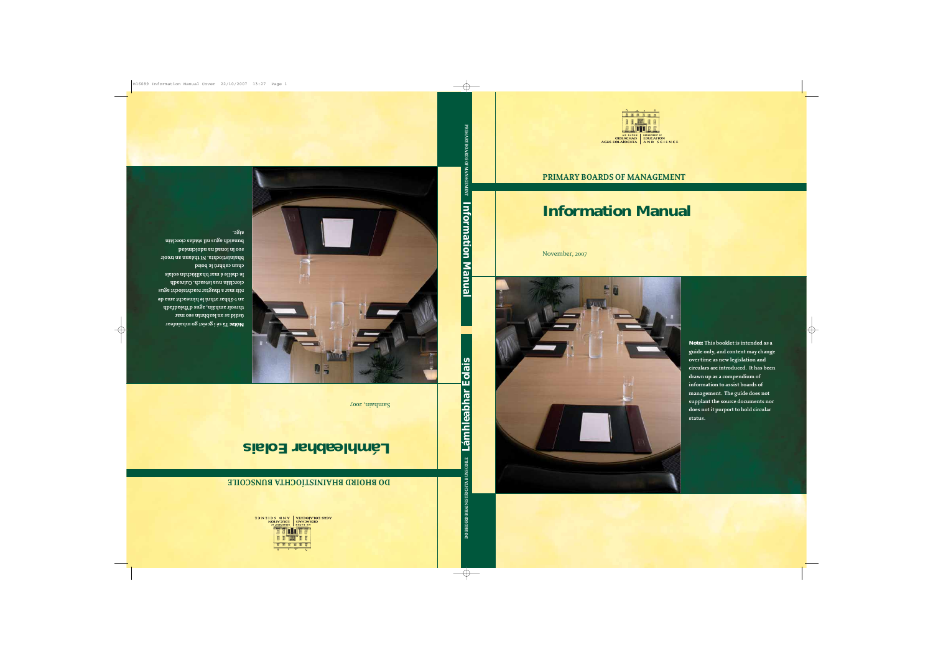

## **PRIMARY BOARDS OF MANAGEMENT**

# **Information Manual**

November, 2007



**Note: This booklet is intended as a guide only, and content may change over time as new legislation and circulars are introduced. It has been drawn up as a compendium of information to assist boards of management. The guide does not supplant the source documents nor does not it purport to hold circular status.**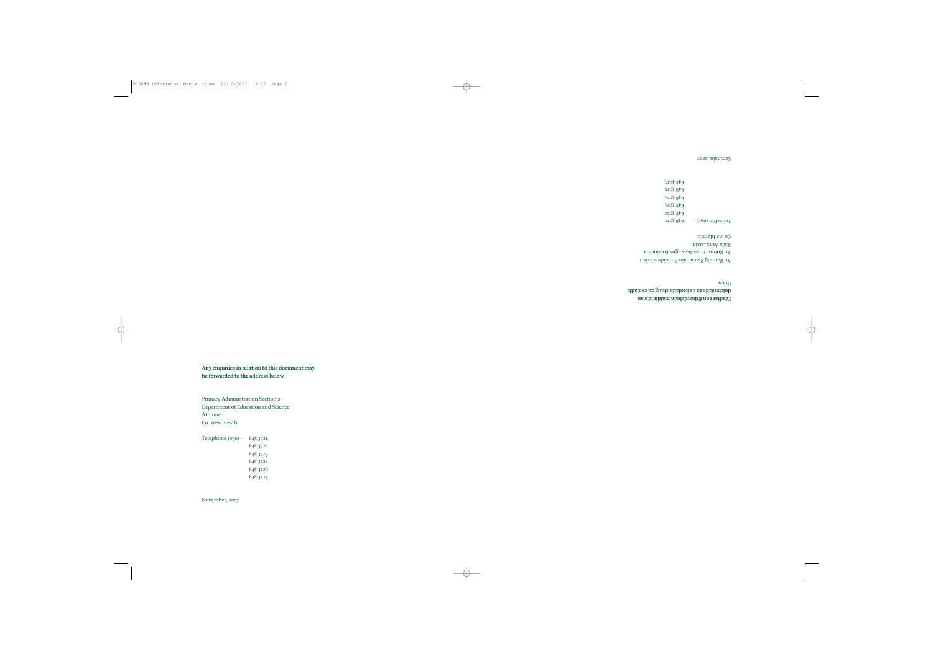**Any enquiries in relation to this document may be forwarded to the address below.**

Primary Administration Section 2 Department of Education and Science Athlone Co. Westmeath

Telephone (090) - 648 3721 648 3722 648 3723 648 3724 648 3725 648 4125

November, 2007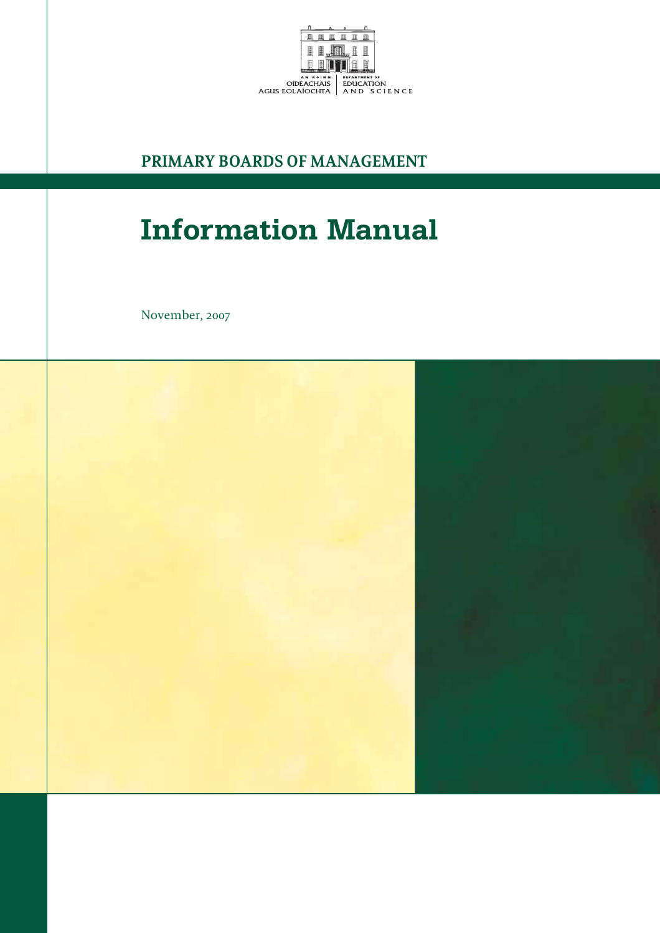

## **PRIMARY BOARDS OF MANAGEMENT**

# **Information Manual**

November, 2007

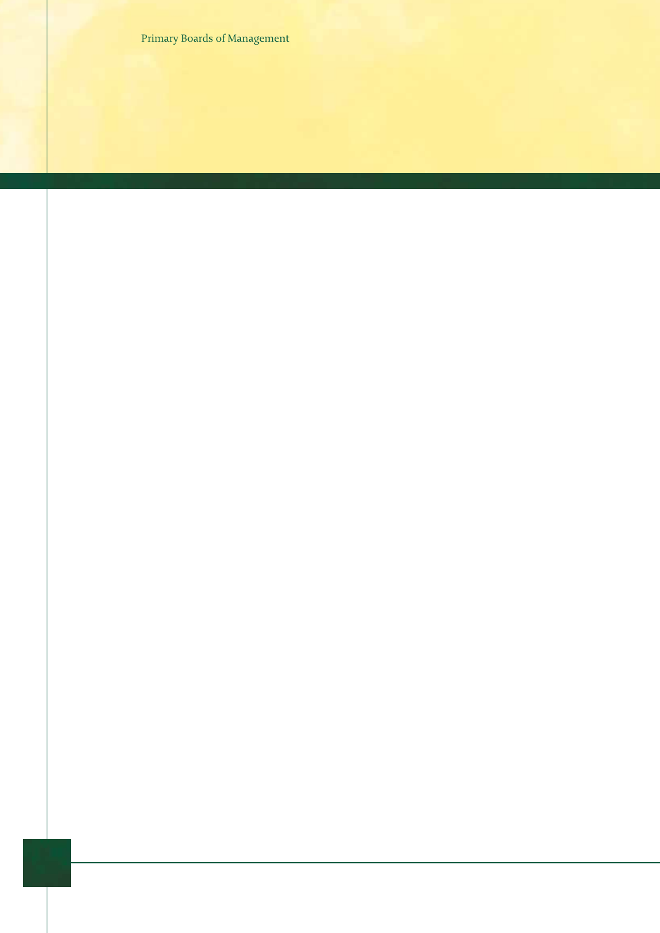Primary Boards of Management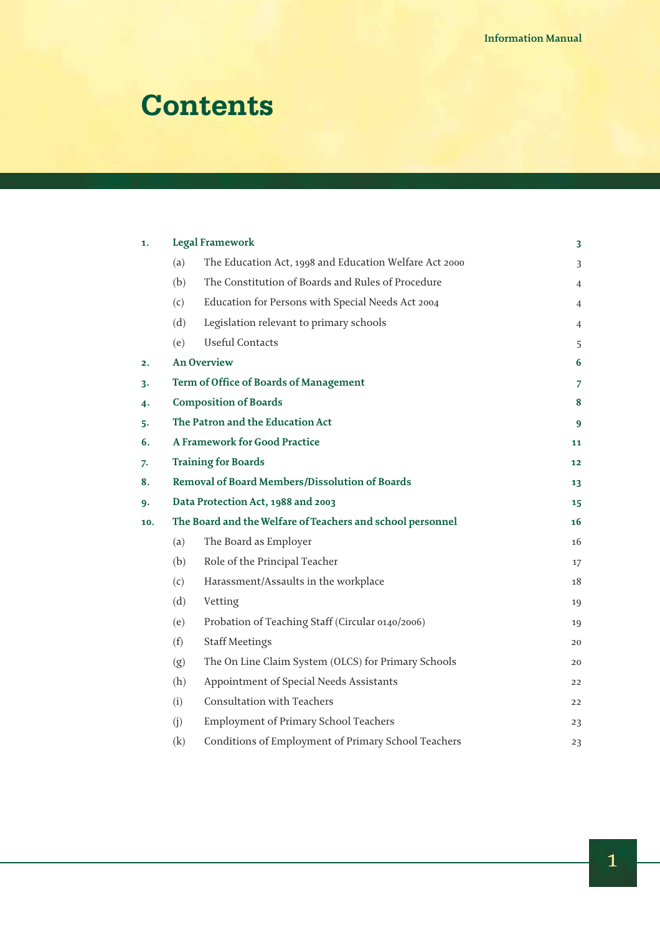## **Contents**

| 1.  | Legal Framework                                            |                                                        |    |  |  |  |
|-----|------------------------------------------------------------|--------------------------------------------------------|----|--|--|--|
|     | (a)                                                        | The Education Act, 1998 and Education Welfare Act 2000 | 3  |  |  |  |
|     | (b)                                                        | The Constitution of Boards and Rules of Procedure      | 4  |  |  |  |
|     | (c)                                                        | Education for Persons with Special Needs Act 2004      | 4  |  |  |  |
|     | (d)                                                        | Legislation relevant to primary schools                | 4  |  |  |  |
|     | (e)                                                        | <b>Useful Contacts</b>                                 | 5  |  |  |  |
| 2.  |                                                            | <b>An Overview</b>                                     | 6  |  |  |  |
| 3.  | Term of Office of Boards of Management<br>7                |                                                        |    |  |  |  |
| 4.  | <b>Composition of Boards</b><br>8                          |                                                        |    |  |  |  |
| 5.  |                                                            | The Patron and the Education Act<br>9                  |    |  |  |  |
| 6.  |                                                            | A Framework for Good Practice<br>11                    |    |  |  |  |
| 7.  | <b>Training for Boards</b>                                 |                                                        |    |  |  |  |
| 8.  |                                                            | Removal of Board Members/Dissolution of Boards         | 13 |  |  |  |
| 9.  |                                                            | Data Protection Act, 1988 and 2003                     | 15 |  |  |  |
| 10. | The Board and the Welfare of Teachers and school personnel | 16                                                     |    |  |  |  |
|     | (a)                                                        | The Board as Employer                                  | 16 |  |  |  |
|     | (b)                                                        | Role of the Principal Teacher                          | 17 |  |  |  |
|     | (c)                                                        | Harassment/Assaults in the workplace                   | 18 |  |  |  |
|     | (d)                                                        | Vetting                                                | 19 |  |  |  |
|     | (e)                                                        | Probation of Teaching Staff (Circular 0140/2006)       | 19 |  |  |  |
|     | (f)                                                        | <b>Staff Meetings</b>                                  | 20 |  |  |  |
|     | (g)                                                        | The On Line Claim System (OLCS) for Primary Schools    | 20 |  |  |  |
|     | (h)                                                        | Appointment of Special Needs Assistants                | 22 |  |  |  |
|     | (i)                                                        | Consultation with Teachers                             | 22 |  |  |  |
|     | (i)                                                        | Employment of Primary School Teachers                  | 23 |  |  |  |
|     | (k)                                                        | Conditions of Employment of Primary School Teachers    | 23 |  |  |  |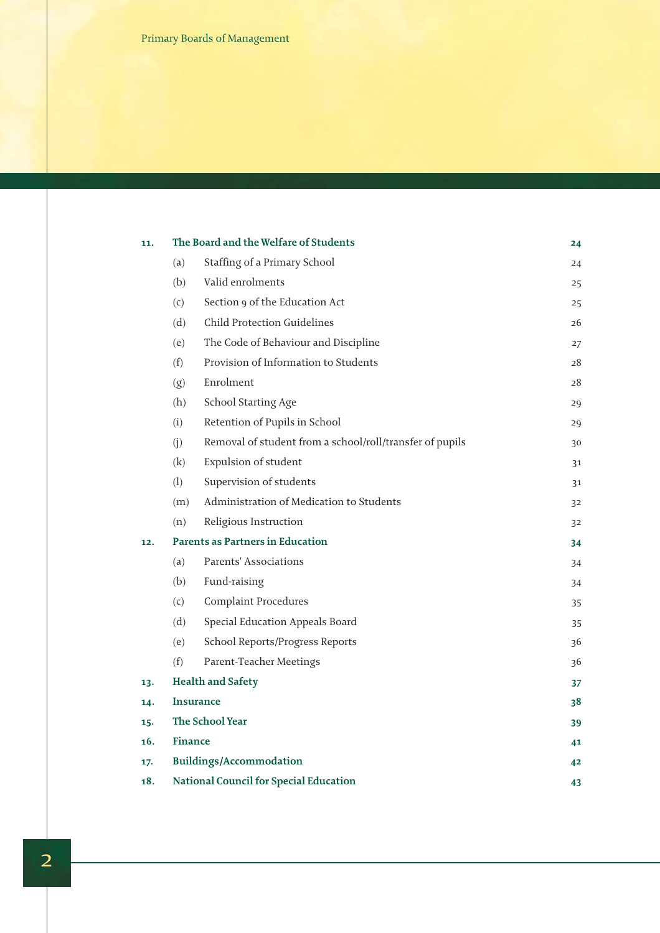| 11. | The Board and the Welfare of Students         | 24                                                       |    |
|-----|-----------------------------------------------|----------------------------------------------------------|----|
|     | (a)                                           | Staffing of a Primary School                             | 24 |
|     | (b)                                           | Valid enrolments                                         | 25 |
|     | (c)                                           | Section 9 of the Education Act                           | 25 |
|     | (d)                                           | <b>Child Protection Guidelines</b>                       | 26 |
|     | (e)                                           | The Code of Behaviour and Discipline                     | 27 |
|     | (f)                                           | Provision of Information to Students                     | 28 |
|     | (g)                                           | Enrolment                                                | 28 |
|     | (h)                                           | School Starting Age                                      | 29 |
|     | (i)                                           | Retention of Pupils in School                            | 29 |
|     | (i)                                           | Removal of student from a school/roll/transfer of pupils | 30 |
|     | (k)                                           | Expulsion of student                                     | 31 |
|     | (1)                                           | Supervision of students                                  | 31 |
|     | (m)                                           | Administration of Medication to Students                 | 32 |
|     | (n)                                           | Religious Instruction                                    | 32 |
| 12. | Parents as Partners in Education              | 34                                                       |    |
|     | (a)                                           | Parents' Associations                                    | 34 |
|     | (b)                                           | Fund-raising                                             | 34 |
|     | (c)                                           | <b>Complaint Procedures</b>                              | 35 |
|     | (d)                                           | Special Education Appeals Board                          | 35 |
|     | (e)                                           | School Reports/Progress Reports                          | 36 |
|     | (f)                                           | Parent-Teacher Meetings                                  | 36 |
| 13. |                                               | <b>Health and Safety</b>                                 | 37 |
| 14. | <b>Insurance</b>                              |                                                          | 38 |
| 15. | The School Year                               |                                                          |    |
| 16. | <b>Finance</b>                                |                                                          |    |
| 17. | Buildings/Accommodation                       |                                                          |    |
| 18. | <b>National Council for Special Education</b> |                                                          |    |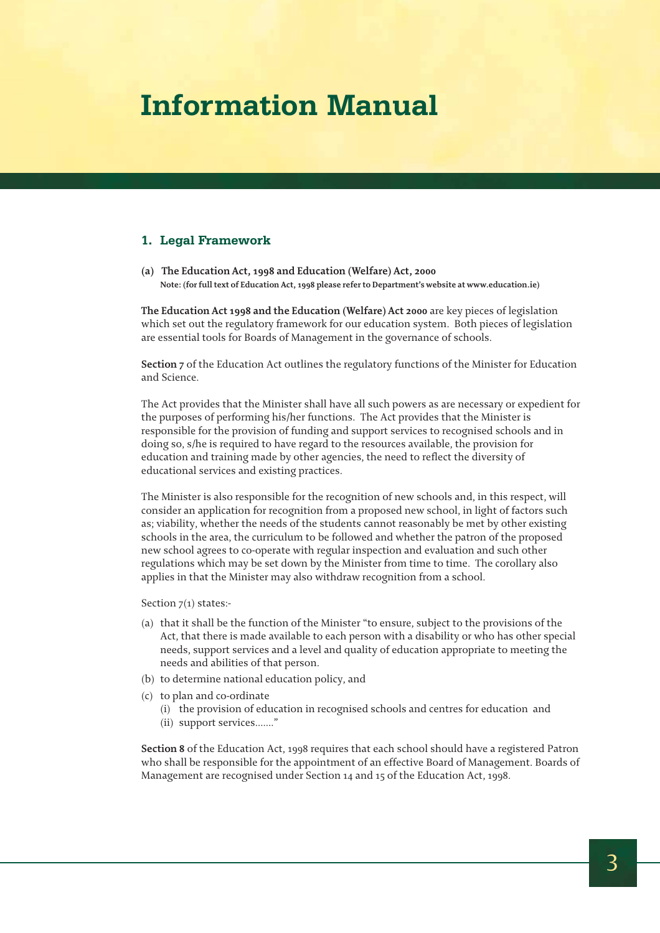## **Information Manual**

## **1. Legal Framework**

**(a) The Education Act, 1998 and Education (Welfare) Act, 2000 Note: (for full text of Education Act, 1998 please refer to Department's website at www.education.ie)**

**The Education Act 1998 and the Education (Welfare) Act 2000** are key pieces of legislation which set out the regulatory framework for our education system. Both pieces of legislation are essential tools for Boards of Management in the governance of schools.

**Section 7** of the Education Act outlines the regulatory functions of the Minister for Education and Science.

The Act provides that the Minister shall have all such powers as are necessary or expedient for the purposes of performing his/her functions. The Act provides that the Minister is responsible for the provision of funding and support services to recognised schools and in doing so, s/he is required to have regard to the resources available, the provision for education and training made by other agencies, the need to reflect the diversity of educational services and existing practices.

The Minister is also responsible for the recognition of new schools and, in this respect, will consider an application for recognition from a proposed new school, in light of factors such as; viability, whether the needs of the students cannot reasonably be met by other existing schools in the area, the curriculum to be followed and whether the patron of the proposed new school agrees to co-operate with regular inspection and evaluation and such other regulations which may be set down by the Minister from time to time. The corollary also applies in that the Minister may also withdraw recognition from a school.

Section 7(1) states:-

- (a) that it shall be the function of the Minister "to ensure, subject to the provisions of the Act, that there is made available to each person with a disability or who has other special needs, support services and a level and quality of education appropriate to meeting the needs and abilities of that person.
- (b) to determine national education policy, and
- (c) to plan and co-ordinate
	- (i) the provision of education in recognised schools and centres for education and (ii) support services......."

**Section 8** of the Education Act, 1998 requires that each school should have a registered Patron who shall be responsible for the appointment of an effective Board of Management. Boards of Management are recognised under Section 14 and 15 of the Education Act, 1998.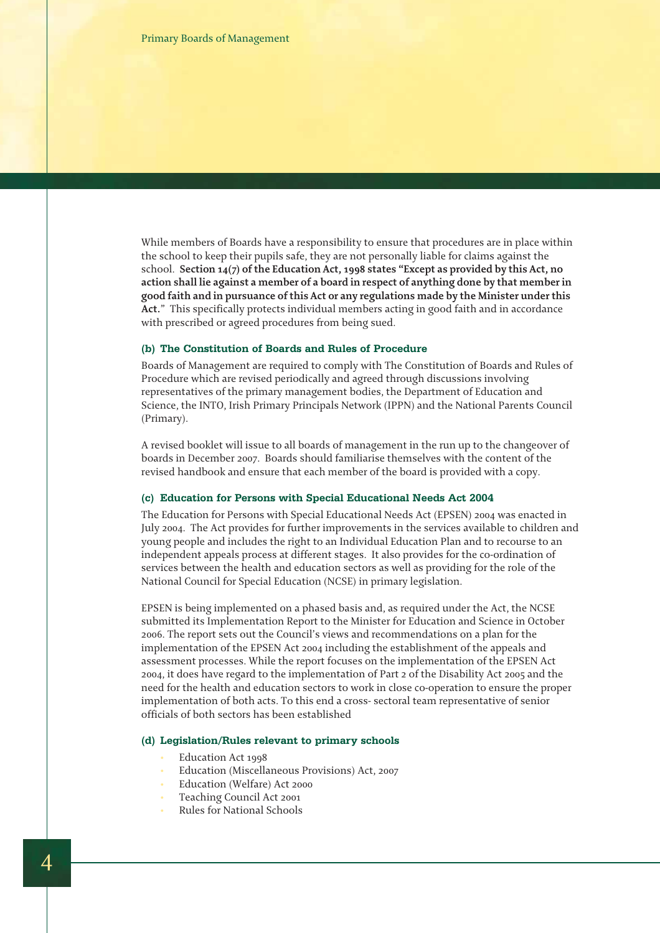While members of Boards have a responsibility to ensure that procedures are in place within the school to keep their pupils safe, they are not personally liable for claims against the school. **Section 14(7) of the Education Act, 1998 states "Except as provided by this Act, no action shall lie against a member of a board in respect of anything done by that member in good faith and in pursuance of this Act or any regulations made by the Minister under this Act.**" This specifically protects individual members acting in good faith and in accordance with prescribed or agreed procedures from being sued.

#### **(b) The Constitution of Boards and Rules of Procedure**

Boards of Management are required to comply with The Constitution of Boards and Rules of Procedure which are revised periodically and agreed through discussions involving representatives of the primary management bodies, the Department of Education and Science, the INTO, Irish Primary Principals Network (IPPN) and the National Parents Council (Primary).

A revised booklet will issue to all boards of management in the run up to the changeover of boards in December 2007. Boards should familiarise themselves with the content of the revised handbook and ensure that each member of the board is provided with a copy.

#### **(c) Education for Persons with Special Educational Needs Act 2004**

The Education for Persons with Special Educational Needs Act (EPSEN) 2004 was enacted in July 2004. The Act provides for further improvements in the services available to children and young people and includes the right to an Individual Education Plan and to recourse to an independent appeals process at different stages. It also provides for the co-ordination of services between the health and education sectors as well as providing for the role of the National Council for Special Education (NCSE) in primary legislation.

EPSEN is being implemented on a phased basis and, as required under the Act, the NCSE submitted its Implementation Report to the Minister for Education and Science in October 2006. The report sets out the Council's views and recommendations on a plan for the implementation of the EPSEN Act 2004 including the establishment of the appeals and assessment processes. While the report focuses on the implementation of the EPSEN Act 2004, it does have regard to the implementation of Part 2 of the Disability Act 2005 and the need for the health and education sectors to work in close co-operation to ensure the proper implementation of both acts. To this end a cross- sectoral team representative of senior officials of both sectors has been established

#### **(d) Legislation/Rules relevant to primary schools**

- Education Act 1998
- Education (Miscellaneous Provisions) Act, 2007
- Education (Welfare) Act 2000
- Teaching Council Act 2001
- Rules for National Schools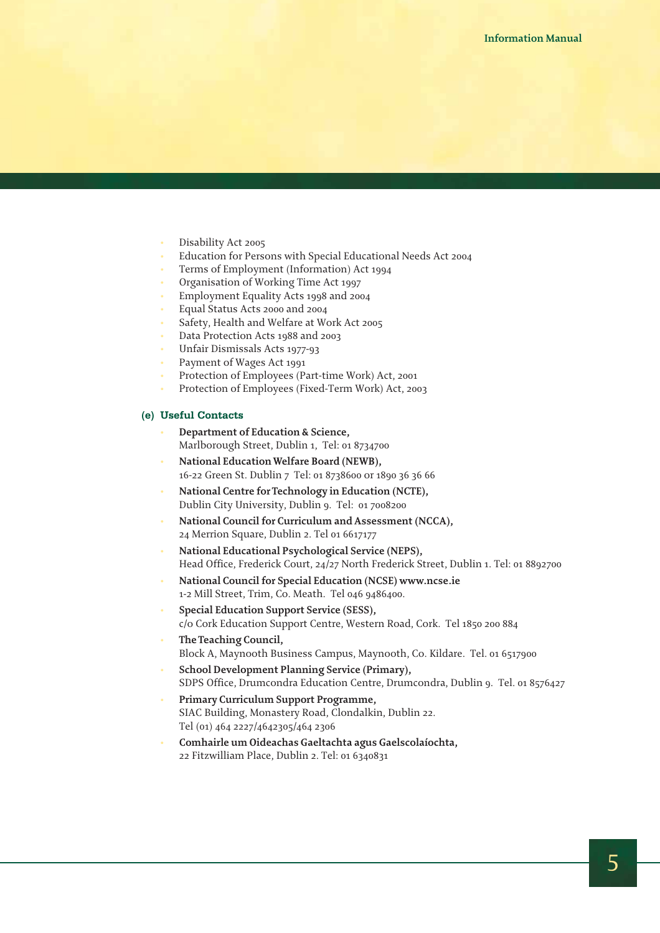- Disability Act 2005
- Education for Persons with Special Educational Needs Act 2004
- Terms of Employment (Information) Act 1994
- Organisation of Working Time Act 1997
- Employment Equality Acts 1998 and 2004
- Equal Status Acts 2000 and 2004
- Safety, Health and Welfare at Work Act 2005
- Data Protection Acts 1988 and 2003
- Unfair Dismissals Acts 1977-93
- Payment of Wages Act 1991
- Protection of Employees (Part-time Work) Act, 2001
- Protection of Employees (Fixed-Term Work) Act, 2003

#### **(e) Useful Contacts**

- **Department of Education & Science,** Marlborough Street, Dublin 1, Tel: 01 8734700
- **National Education Welfare Board (NEWB),** 16-22 Green St. Dublin 7 Tel: 01 8738600 or 1890 36 36 66
- **National Centre for Technology in Education (NCTE),** Dublin City University, Dublin 9. Tel: 01 7008200
- **National Council for Curriculum and Assessment (NCCA),** 24 Merrion Square, Dublin 2. Tel 01 6617177
- **National Educational Psychological Service (NEPS),** Head Office, Frederick Court, 24/27 North Frederick Street, Dublin 1. Tel: 01 8892700
- **National Council for Special Education (NCSE) www.ncse.ie** 1-2 Mill Street, Trim, Co. Meath. Tel 046 9486400.
- **Special Education Support Service (SESS),** c/o Cork Education Support Centre, Western Road, Cork. Tel 1850 200 884
- **The Teaching Council,** Block A, Maynooth Business Campus, Maynooth, Co. Kildare. Tel. 01 6517900
- **School Development Planning Service (Primary),** SDPS Office, Drumcondra Education Centre, Drumcondra, Dublin 9. Tel. 01 8576427
- **Primary Curriculum Support Programme,** SIAC Building, Monastery Road, Clondalkin, Dublin 22. Tel (01) 464 2227/4642305/464 2306
- **Comhairle um Oideachas Gaeltachta agus Gaelscolaíochta,** 22 Fitzwilliam Place, Dublin 2. Tel: 01 6340831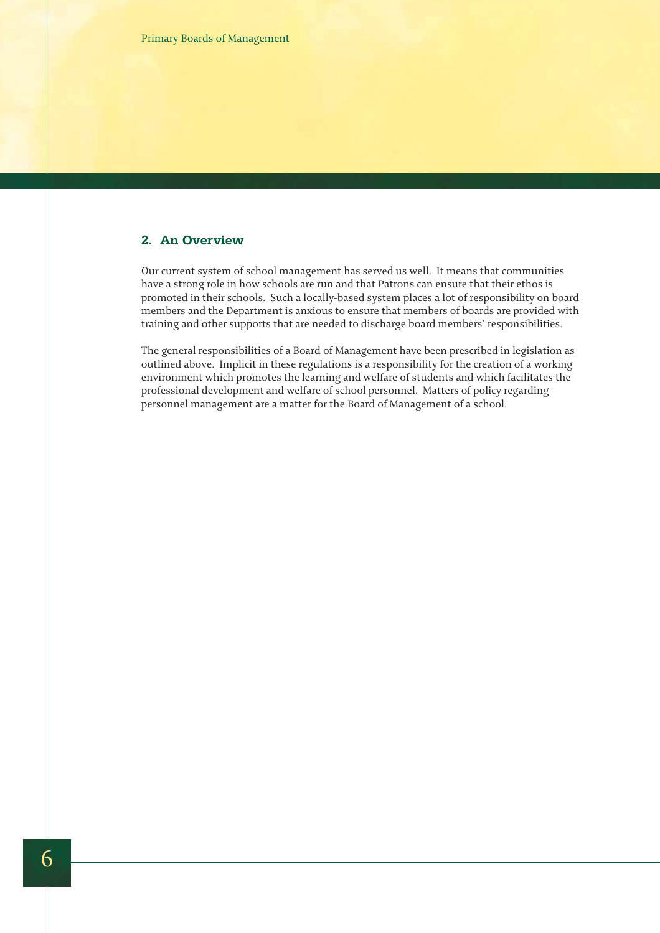## **2. An Overview**

Our current system of school management has served us well. It means that communities have a strong role in how schools are run and that Patrons can ensure that their ethos is promoted in their schools. Such a locally-based system places a lot of responsibility on board members and the Department is anxious to ensure that members of boards are provided with training and other supports that are needed to discharge board members' responsibilities.

The general responsibilities of a Board of Management have been prescribed in legislation as outlined above. Implicit in these regulations is a responsibility for the creation of a working environment which promotes the learning and welfare of students and which facilitates the professional development and welfare of school personnel. Matters of policy regarding personnel management are a matter for the Board of Management of a school.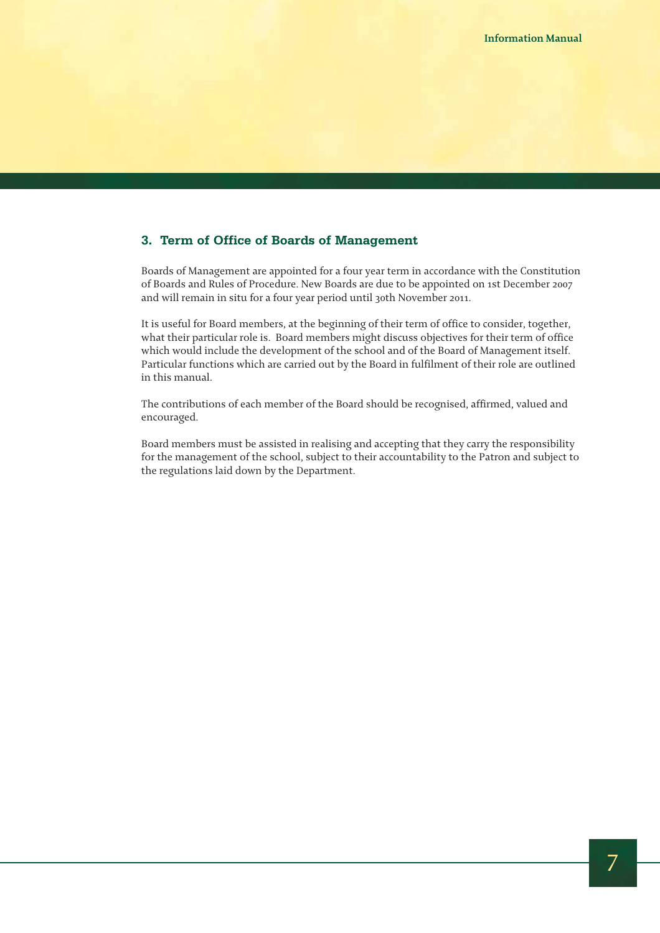## **3. Term of Office of Boards of Management**

Boards of Management are appointed for a four year term in accordance with the Constitution of Boards and Rules of Procedure. New Boards are due to be appointed on 1st December 2007 and will remain in situ for a four year period until 30th November 2011.

It is useful for Board members, at the beginning of their term of office to consider, together, what their particular role is. Board members might discuss objectives for their term of office which would include the development of the school and of the Board of Management itself. Particular functions which are carried out by the Board in fulfilment of their role are outlined in this manual.

The contributions of each member of the Board should be recognised, affirmed, valued and encouraged.

Board members must be assisted in realising and accepting that they carry the responsibility for the management of the school, subject to their accountability to the Patron and subject to the regulations laid down by the Department.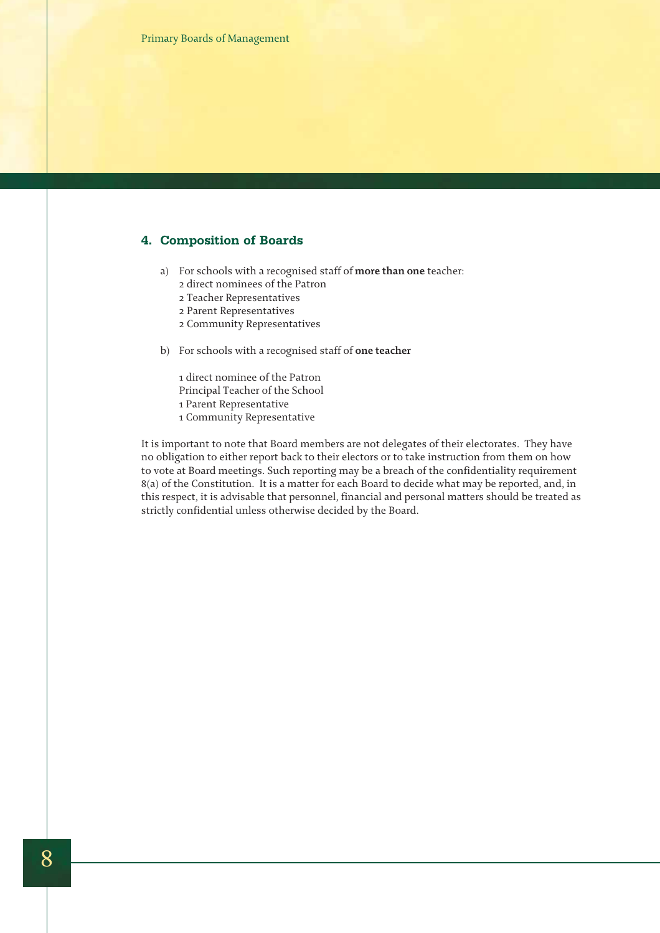## **4. Composition of Boards**

- a) For schools with a recognised staff of **more than one** teacher:
	- 2 direct nominees of the Patron
	- 2 Teacher Representatives
	- 2 Parent Representatives
	- 2 Community Representatives
- b) For schools with a recognised staff of **one teacher**
	- 1 direct nominee of the Patron Principal Teacher of the School 1 Parent Representative 1 Community Representative

It is important to note that Board members are not delegates of their electorates. They have no obligation to either report back to their electors or to take instruction from them on how to vote at Board meetings. Such reporting may be a breach of the confidentiality requirement 8(a) of the Constitution. It is a matter for each Board to decide what may be reported, and, in this respect, it is advisable that personnel, financial and personal matters should be treated as strictly confidential unless otherwise decided by the Board.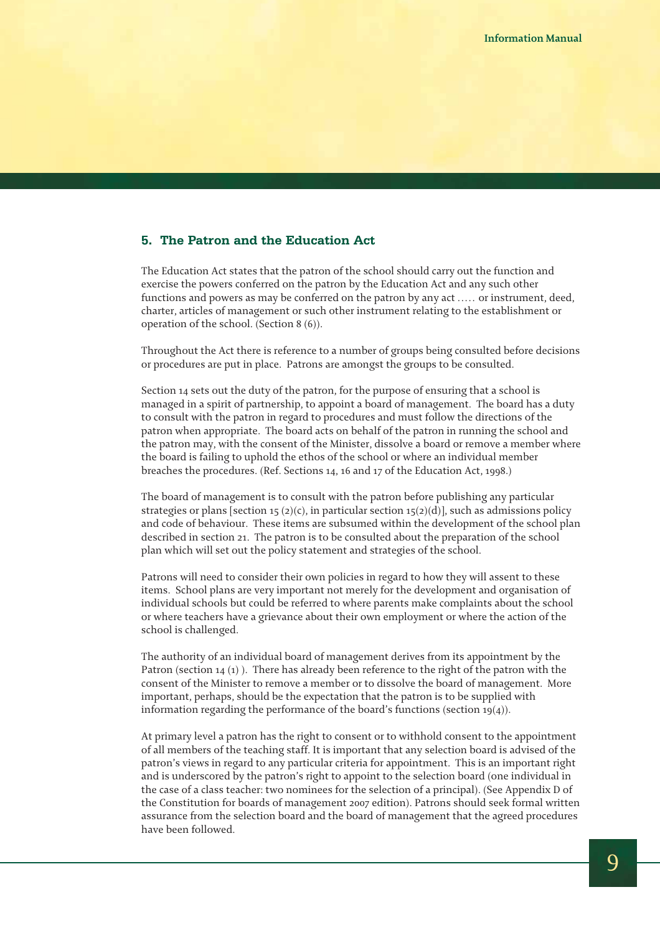## **5. The Patron and the Education Act**

The Education Act states that the patron of the school should carry out the function and exercise the powers conferred on the patron by the Education Act and any such other functions and powers as may be conferred on the patron by any act ..... or instrument, deed, charter, articles of management or such other instrument relating to the establishment or operation of the school. (Section 8 (6)).

Throughout the Act there is reference to a number of groups being consulted before decisions or procedures are put in place. Patrons are amongst the groups to be consulted.

Section 14 sets out the duty of the patron, for the purpose of ensuring that a school is managed in a spirit of partnership, to appoint a board of management. The board has a duty to consult with the patron in regard to procedures and must follow the directions of the patron when appropriate. The board acts on behalf of the patron in running the school and the patron may, with the consent of the Minister, dissolve a board or remove a member where the board is failing to uphold the ethos of the school or where an individual member breaches the procedures. (Ref. Sections 14, 16 and 17 of the Education Act, 1998.)

The board of management is to consult with the patron before publishing any particular strategies or plans [section 15 (2)(c), in particular section 15(2)(d)], such as admissions policy and code of behaviour. These items are subsumed within the development of the school plan described in section 21. The patron is to be consulted about the preparation of the school plan which will set out the policy statement and strategies of the school.

Patrons will need to consider their own policies in regard to how they will assent to these items. School plans are very important not merely for the development and organisation of individual schools but could be referred to where parents make complaints about the school or where teachers have a grievance about their own employment or where the action of the school is challenged.

The authority of an individual board of management derives from its appointment by the Patron (section 14 (1) ). There has already been reference to the right of the patron with the consent of the Minister to remove a member or to dissolve the board of management. More important, perhaps, should be the expectation that the patron is to be supplied with information regarding the performance of the board's functions (section 19(4)).

At primary level a patron has the right to consent or to withhold consent to the appointment of all members of the teaching staff. It is important that any selection board is advised of the patron's views in regard to any particular criteria for appointment. This is an important right and is underscored by the patron's right to appoint to the selection board (one individual in the case of a class teacher: two nominees for the selection of a principal). (See Appendix D of the Constitution for boards of management 2007 edition). Patrons should seek formal written assurance from the selection board and the board of management that the agreed procedures have been followed.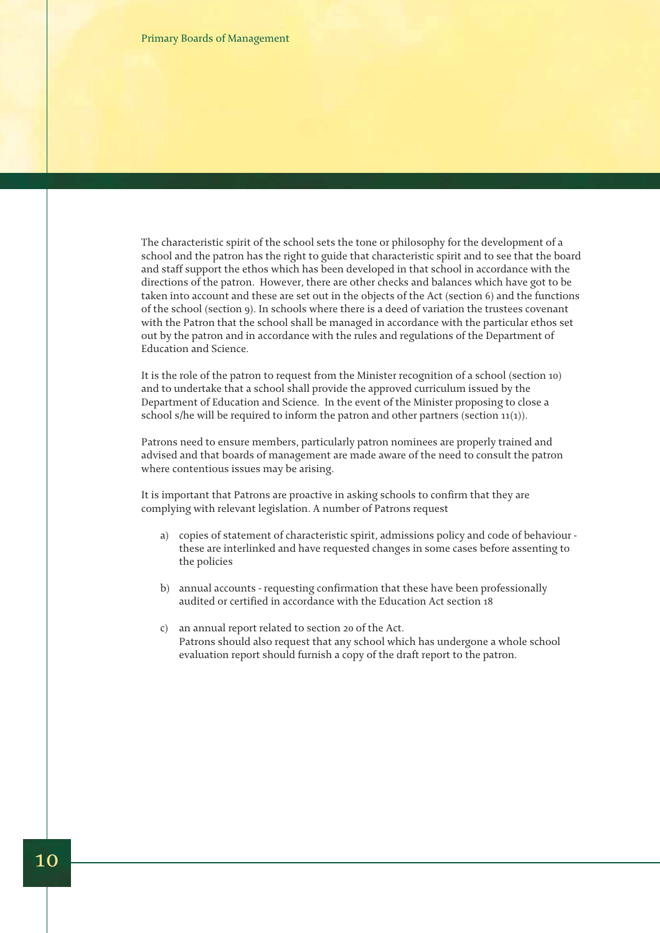The characteristic spirit of the school sets the tone or philosophy for the development of a school and the patron has the right to guide that characteristic spirit and to see that the board and staff support the ethos which has been developed in that school in accordance with the directions of the patron. However, there are other checks and balances which have got to be taken into account and these are set out in the objects of the Act (section 6) and the functions of the school (section 9). In schools where there is a deed of variation the trustees covenant with the Patron that the school shall be managed in accordance with the particular ethos set out by the patron and in accordance with the rules and regulations of the Department of Education and Science.

It is the role of the patron to request from the Minister recognition of a school (section 10) and to undertake that a school shall provide the approved curriculum issued by the Department of Education and Science. In the event of the Minister proposing to close a school s/he will be required to inform the patron and other partners (section 11(1)).

Patrons need to ensure members, particularly patron nominees are properly trained and advised and that boards of management are made aware of the need to consult the patron where contentious issues may be arising.

It is important that Patrons are proactive in asking schools to confirm that they are complying with relevant legislation. A number of Patrons request

- a) copies of statement of characteristic spirit, admissions policy and code of behaviour these are interlinked and have requested changes in some cases before assenting to the policies
- b) annual accounts requesting confirmation that these have been professionally audited or certified in accordance with the Education Act section 18
- c) an annual report related to section 20 of the Act. Patrons should also request that any school which has undergone a whole school evaluation report should furnish a copy of the draft report to the patron.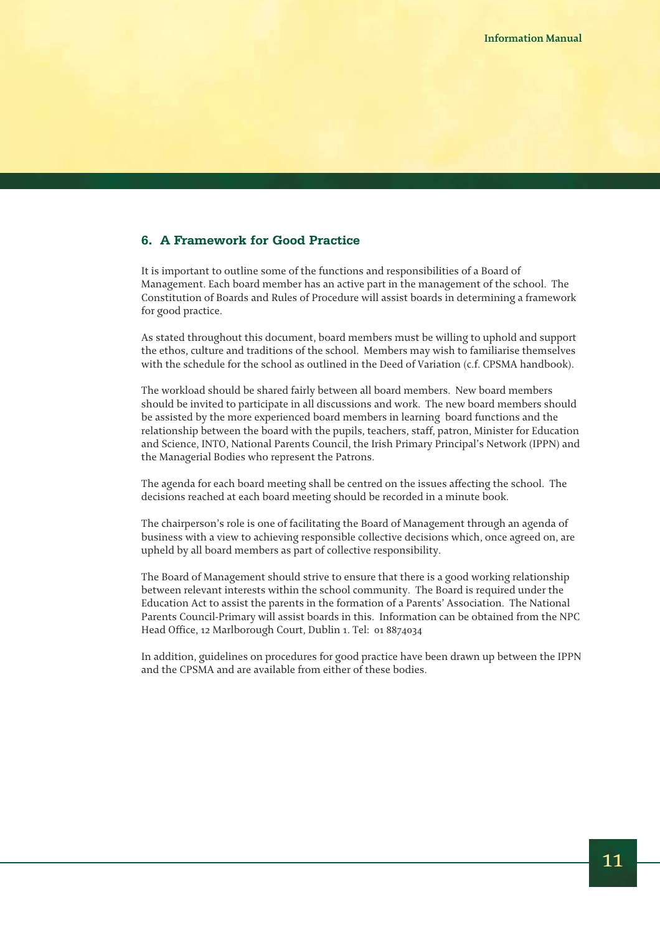## **6. A Framework for Good Practice**

It is important to outline some of the functions and responsibilities of a Board of Management. Each board member has an active part in the management of the school. The Constitution of Boards and Rules of Procedure will assist boards in determining a framework for good practice.

As stated throughout this document, board members must be willing to uphold and support the ethos, culture and traditions of the school. Members may wish to familiarise themselves with the schedule for the school as outlined in the Deed of Variation (c.f. CPSMA handbook).

The workload should be shared fairly between all board members. New board members should be invited to participate in all discussions and work. The new board members should be assisted by the more experienced board members in learning board functions and the relationship between the board with the pupils, teachers, staff, patron, Minister for Education and Science, INTO, National Parents Council, the Irish Primary Principal's Network (IPPN) and the Managerial Bodies who represent the Patrons.

The agenda for each board meeting shall be centred on the issues affecting the school. The decisions reached at each board meeting should be recorded in a minute book.

The chairperson's role is one of facilitating the Board of Management through an agenda of business with a view to achieving responsible collective decisions which, once agreed on, are upheld by all board members as part of collective responsibility.

The Board of Management should strive to ensure that there is a good working relationship between relevant interests within the school community. The Board is required under the Education Act to assist the parents in the formation of a Parents' Association. The National Parents Council-Primary will assist boards in this. Information can be obtained from the NPC Head Office, 12 Marlborough Court, Dublin 1. Tel: 01 8874034

In addition, guidelines on procedures for good practice have been drawn up between the IPPN and the CPSMA and are available from either of these bodies.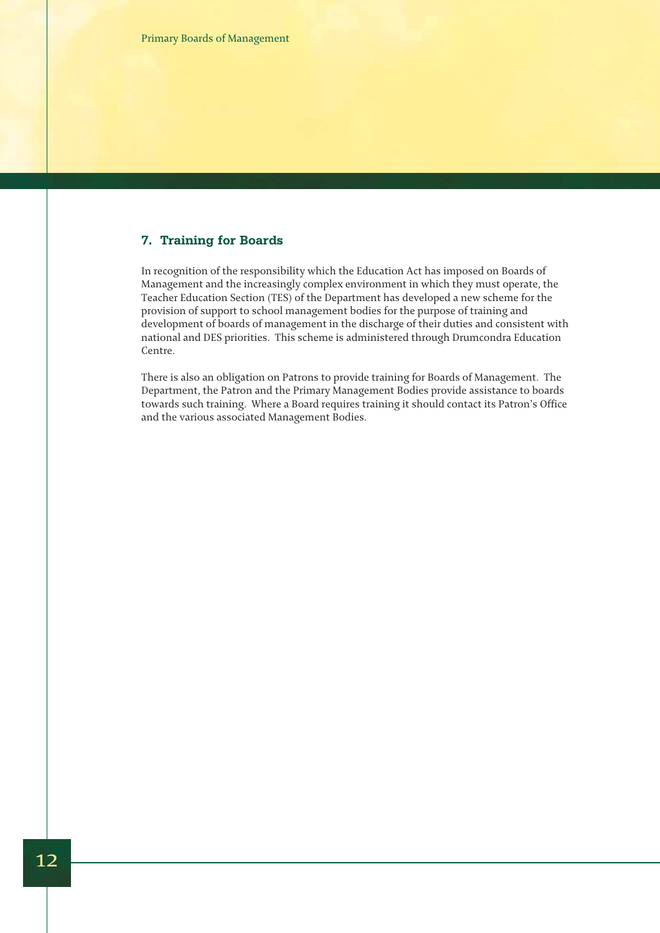## **7. Training for Boards**

In recognition of the responsibility which the Education Act has imposed on Boards of Management and the increasingly complex environment in which they must operate, the Teacher Education Section (TES) of the Department has developed a new scheme for the provision of support to school management bodies for the purpose of training and development of boards of management in the discharge of their duties and consistent with national and DES priorities. This scheme is administered through Drumcondra Education Centre.

There is also an obligation on Patrons to provide training for Boards of Management. The Department, the Patron and the Primary Management Bodies provide assistance to boards towards such training. Where a Board requires training it should contact its Patron's Office and the various associated Management Bodies.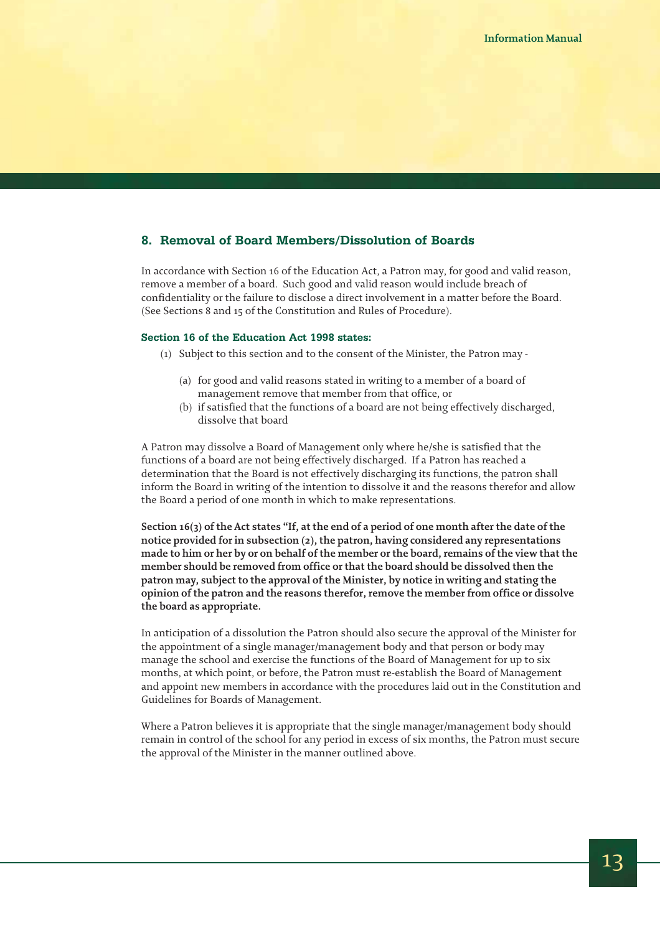## **8. Removal of Board Members/Dissolution of Boards**

In accordance with Section 16 of the Education Act, a Patron may, for good and valid reason, remove a member of a board. Such good and valid reason would include breach of confidentiality or the failure to disclose a direct involvement in a matter before the Board. (See Sections 8 and 15 of the Constitution and Rules of Procedure).

#### **Section 16 of the Education Act 1998 states:**

- (1) Subject to this section and to the consent of the Minister, the Patron may
	- (a) for good and valid reasons stated in writing to a member of a board of management remove that member from that office, or
	- (b) if satisfied that the functions of a board are not being effectively discharged, dissolve that board

A Patron may dissolve a Board of Management only where he/she is satisfied that the functions of a board are not being effectively discharged. If a Patron has reached a determination that the Board is not effectively discharging its functions, the patron shall inform the Board in writing of the intention to dissolve it and the reasons therefor and allow the Board a period of one month in which to make representations.

**Section 16(3) of the Act states "If, at the end of a period of one month after the date of the notice provided for in subsection (2), the patron, having considered any representations made to him or her by or on behalf of the member or the board, remains of the view that the member should be removed from office or that the board should be dissolved then the patron may, subject to the approval of the Minister, by notice in writing and stating the opinion of the patron and the reasons therefor, remove the member from office or dissolve the board as appropriate.**

In anticipation of a dissolution the Patron should also secure the approval of the Minister for the appointment of a single manager/management body and that person or body may manage the school and exercise the functions of the Board of Management for up to six months, at which point, or before, the Patron must re-establish the Board of Management and appoint new members in accordance with the procedures laid out in the Constitution and Guidelines for Boards of Management.

Where a Patron believes it is appropriate that the single manager/management body should remain in control of the school for any period in excess of six months, the Patron must secure the approval of the Minister in the manner outlined above.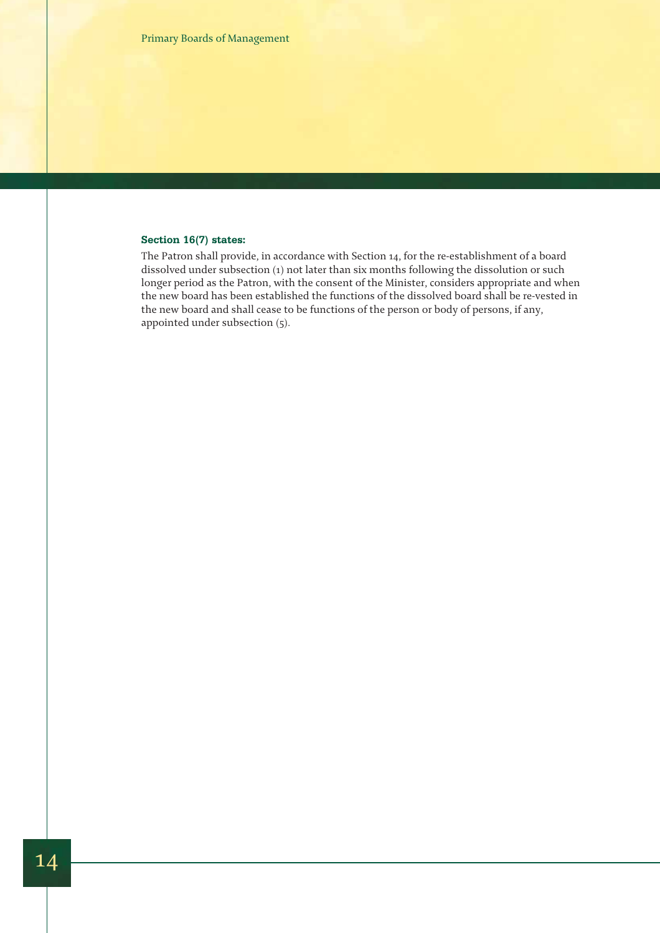## **Section 16(7) states:**

The Patron shall provide, in accordance with Section 14, for the re-establishment of a board dissolved under subsection (1) not later than six months following the dissolution or such longer period as the Patron, with the consent of the Minister, considers appropriate and when the new board has been established the functions of the dissolved board shall be re-vested in the new board and shall cease to be functions of the person or body of persons, if any, appointed under subsection (5).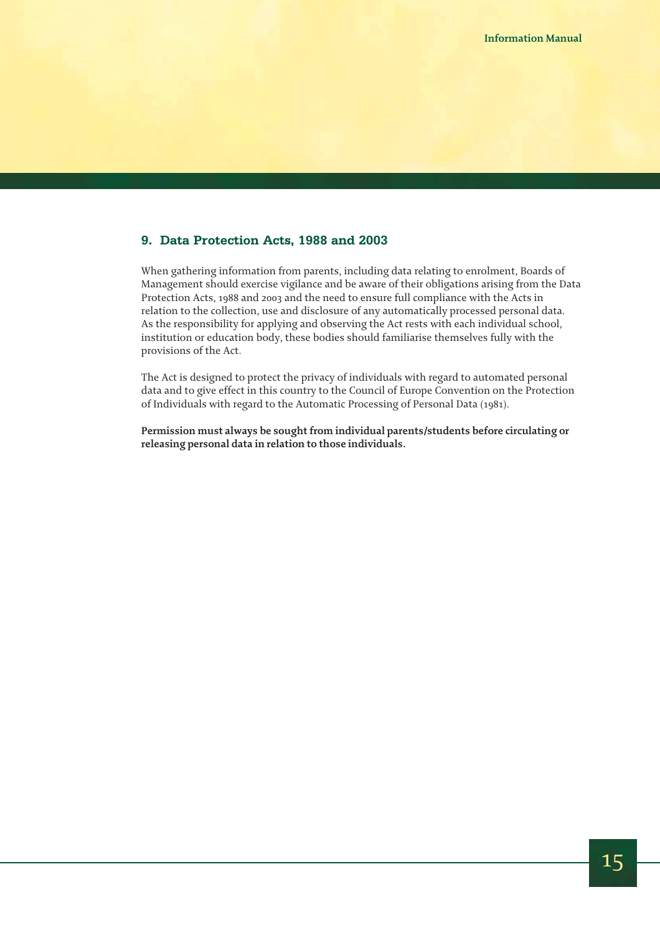## **9. Data Protection Acts, 1988 and 2003**

When gathering information from parents, including data relating to enrolment, Boards of Management should exercise vigilance and be aware of their obligations arising from the Data Protection Acts, 1988 and 2003 and the need to ensure full compliance with the Acts in relation to the collection, use and disclosure of any automatically processed personal data. As the responsibility for applying and observing the Act rests with each individual school, institution or education body, these bodies should familiarise themselves fully with the provisions of the Act.

The Act is designed to protect the privacy of individuals with regard to automated personal data and to give effect in this country to the Council of Europe Convention on the Protection of Individuals with regard to the Automatic Processing of Personal Data (1981).

**Permission must always be sought from individual parents/students before circulating or releasing personal data in relation to those individuals.**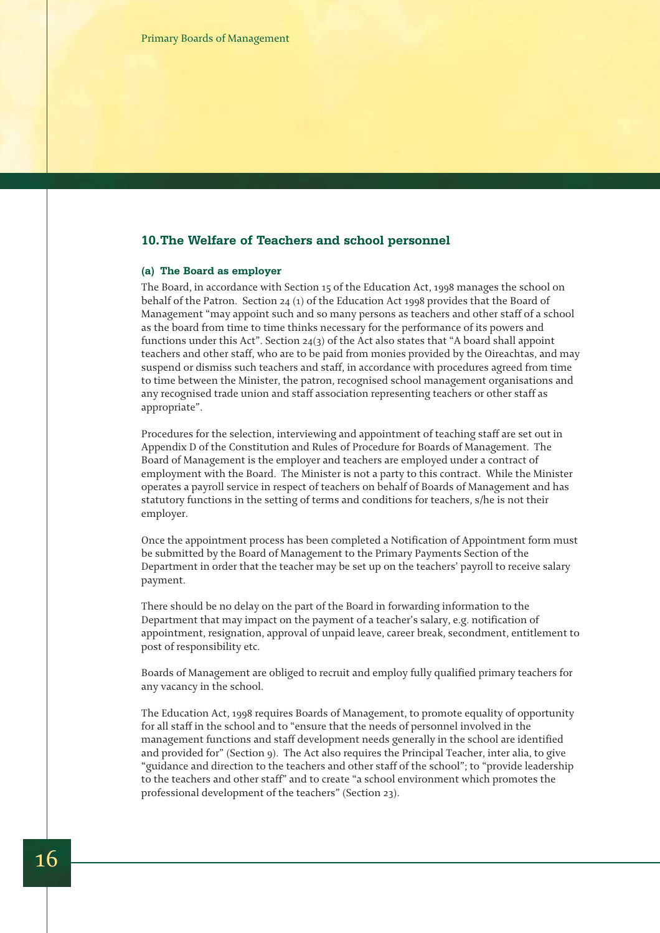## **10.The Welfare of Teachers and school personnel**

## **(a) The Board as employer**

The Board, in accordance with Section 15 of the Education Act, 1998 manages the school on behalf of the Patron. Section 24 (1) of the Education Act 1998 provides that the Board of Management "may appoint such and so many persons as teachers and other staff of a school as the board from time to time thinks necessary for the performance of its powers and functions under this Act". Section 24(3) of the Act also states that "A board shall appoint teachers and other staff, who are to be paid from monies provided by the Oireachtas, and may suspend or dismiss such teachers and staff, in accordance with procedures agreed from time to time between the Minister, the patron, recognised school management organisations and any recognised trade union and staff association representing teachers or other staff as appropriate".

Procedures for the selection, interviewing and appointment of teaching staff are set out in Appendix D of the Constitution and Rules of Procedure for Boards of Management. The Board of Management is the employer and teachers are employed under a contract of employment with the Board. The Minister is not a party to this contract. While the Minister operates a payroll service in respect of teachers on behalf of Boards of Management and has statutory functions in the setting of terms and conditions for teachers, s/he is not their employer.

Once the appointment process has been completed a Notification of Appointment form must be submitted by the Board of Management to the Primary Payments Section of the Department in order that the teacher may be set up on the teachers' payroll to receive salary payment.

There should be no delay on the part of the Board in forwarding information to the Department that may impact on the payment of a teacher's salary, e.g. notification of appointment, resignation, approval of unpaid leave, career break, secondment, entitlement to post of responsibility etc.

Boards of Management are obliged to recruit and employ fully qualified primary teachers for any vacancy in the school.

The Education Act, 1998 requires Boards of Management, to promote equality of opportunity for all staff in the school and to "ensure that the needs of personnel involved in the management functions and staff development needs generally in the school are identified and provided for" (Section 9). The Act also requires the Principal Teacher, inter alia, to give "guidance and direction to the teachers and other staff of the school"; to "provide leadership to the teachers and other staff" and to create "a school environment which promotes the professional development of the teachers" (Section 23).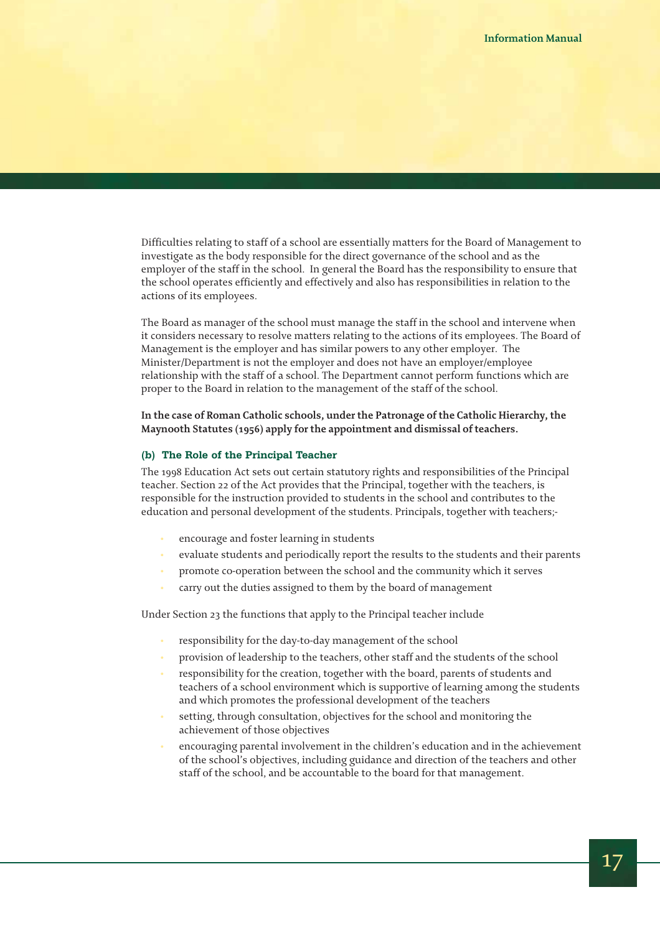Difficulties relating to staff of a school are essentially matters for the Board of Management to investigate as the body responsible for the direct governance of the school and as the employer of the staff in the school. In general the Board has the responsibility to ensure that the school operates efficiently and effectively and also has responsibilities in relation to the actions of its employees.

The Board as manager of the school must manage the staff in the school and intervene when it considers necessary to resolve matters relating to the actions of its employees. The Board of Management is the employer and has similar powers to any other employer. The Minister/Department is not the employer and does not have an employer/employee relationship with the staff of a school. The Department cannot perform functions which are proper to the Board in relation to the management of the staff of the school.

**In the case of Roman Catholic schools, under the Patronage of the Catholic Hierarchy, the Maynooth Statutes (1956) apply for the appointment and dismissal of teachers.**

#### **(b) The Role of the Principal Teacher**

The 1998 Education Act sets out certain statutory rights and responsibilities of the Principal teacher. Section 22 of the Act provides that the Principal, together with the teachers, is responsible for the instruction provided to students in the school and contributes to the education and personal development of the students. Principals, together with teachers;-

- encourage and foster learning in students
- evaluate students and periodically report the results to the students and their parents
- promote co-operation between the school and the community which it serves
- carry out the duties assigned to them by the board of management

Under Section 23 the functions that apply to the Principal teacher include

- responsibility for the day-to-day management of the school
- provision of leadership to the teachers, other staff and the students of the school
- responsibility for the creation, together with the board, parents of students and teachers of a school environment which is supportive of learning among the students and which promotes the professional development of the teachers
- setting, through consultation, objectives for the school and monitoring the achievement of those objectives
- encouraging parental involvement in the children's education and in the achievement of the school's objectives, including guidance and direction of the teachers and other staff of the school, and be accountable to the board for that management.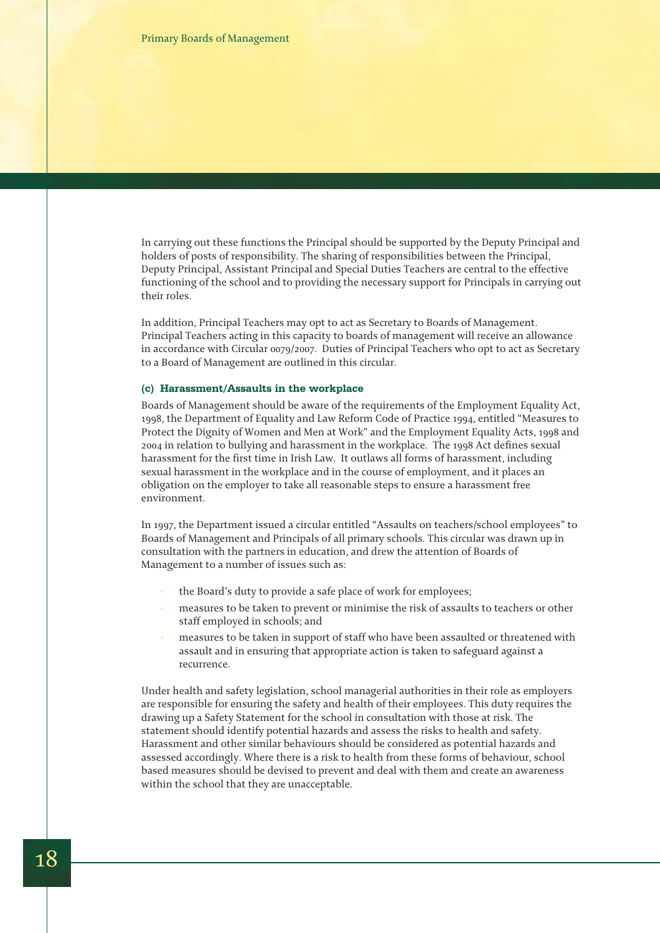In carrying out these functions the Principal should be supported by the Deputy Principal and holders of posts of responsibility. The sharing of responsibilities between the Principal, Deputy Principal, Assistant Principal and Special Duties Teachers are central to the effective functioning of the school and to providing the necessary support for Principals in carrying out their roles.

In addition, Principal Teachers may opt to act as Secretary to Boards of Management. Principal Teachers acting in this capacity to boards of management will receive an allowance in accordance with Circular 0079/2007. Duties of Principal Teachers who opt to act as Secretary to a Board of Management are outlined in this circular.

#### **(c) Harassment/Assaults in the workplace**

Boards of Management should be aware of the requirements of the Employment Equality Act, 1998, the Department of Equality and Law Reform Code of Practice 1994, entitled "Measures to Protect the Dignity of Women and Men at Work" and the Employment Equality Acts, 1998 and 2004 in relation to bullying and harassment in the workplace. The 1998 Act defines sexual harassment for the first time in Irish Law. It outlaws all forms of harassment, including sexual harassment in the workplace and in the course of employment, and it places an obligation on the employer to take all reasonable steps to ensure a harassment free environment.

In 1997, the Department issued a circular entitled "Assaults on teachers/school employees" to Boards of Management and Principals of all primary schools. This circular was drawn up in consultation with the partners in education, and drew the attention of Boards of Management to a number of issues such as:

- the Board's duty to provide a safe place of work for employees;
- measures to be taken to prevent or minimise the risk of assaults to teachers or other staff employed in schools; and
- measures to be taken in support of staff who have been assaulted or threatened with assault and in ensuring that appropriate action is taken to safeguard against a recurrence.

Under health and safety legislation, school managerial authorities in their role as employers are responsible for ensuring the safety and health of their employees. This duty requires the drawing up a Safety Statement for the school in consultation with those at risk. The statement should identify potential hazards and assess the risks to health and safety. Harassment and other similar behaviours should be considered as potential hazards and assessed accordingly. Where there is a risk to health from these forms of behaviour, school based measures should be devised to prevent and deal with them and create an awareness within the school that they are unacceptable.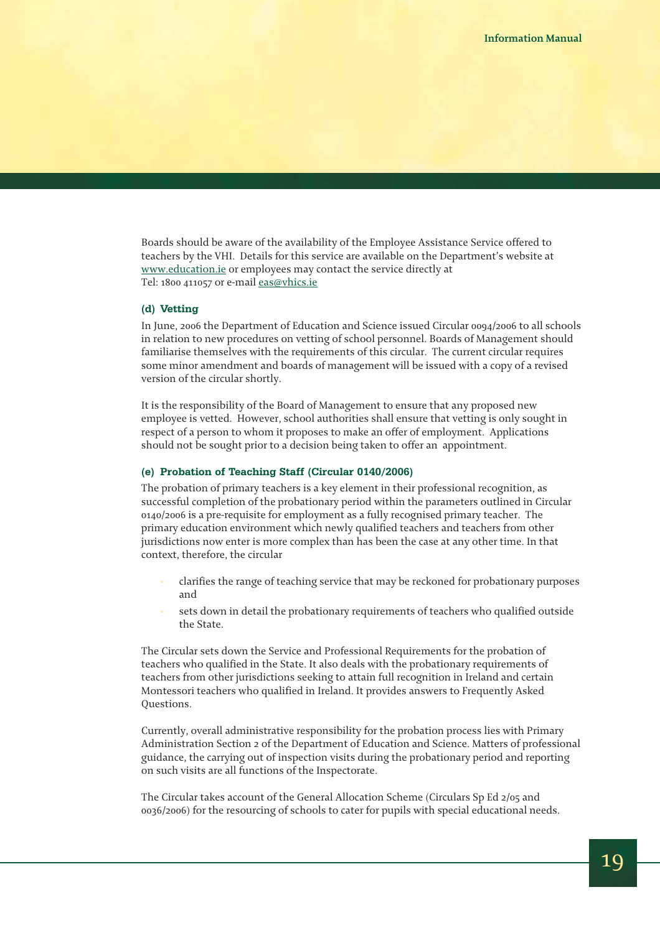Boards should be aware of the availability of the Employee Assistance Service offered to teachers by the VHI. Details for this service are available on the Department's website at www.education.ie or employees may contact the service directly at Tel: 1800 411057 or e-mail eas@vhics.ie

#### **(d) Vetting**

In June, 2006 the Department of Education and Science issued Circular 0094/2006 to all schools in relation to new procedures on vetting of school personnel. Boards of Management should familiarise themselves with the requirements of this circular. The current circular requires some minor amendment and boards of management will be issued with a copy of a revised version of the circular shortly.

It is the responsibility of the Board of Management to ensure that any proposed new employee is vetted. However, school authorities shall ensure that vetting is only sought in respect of a person to whom it proposes to make an offer of employment. Applications should not be sought prior to a decision being taken to offer an appointment.

#### **(e) Probation of Teaching Staff (Circular 0140/2006)**

The probation of primary teachers is a key element in their professional recognition, as successful completion of the probationary period within the parameters outlined in Circular 0140/2006 is a pre-requisite for employment as a fully recognised primary teacher. The primary education environment which newly qualified teachers and teachers from other jurisdictions now enter is more complex than has been the case at any other time. In that context, therefore, the circular

- clarifies the range of teaching service that may be reckoned for probationary purposes and
- sets down in detail the probationary requirements of teachers who qualified outside the State.

The Circular sets down the Service and Professional Requirements for the probation of teachers who qualified in the State. It also deals with the probationary requirements of teachers from other jurisdictions seeking to attain full recognition in Ireland and certain Montessori teachers who qualified in Ireland. It provides answers to Frequently Asked Questions.

Currently, overall administrative responsibility for the probation process lies with Primary Administration Section 2 of the Department of Education and Science. Matters of professional guidance, the carrying out of inspection visits during the probationary period and reporting on such visits are all functions of the Inspectorate.

The Circular takes account of the General Allocation Scheme (Circulars Sp Ed 2/05 and 0036/2006) for the resourcing of schools to cater for pupils with special educational needs.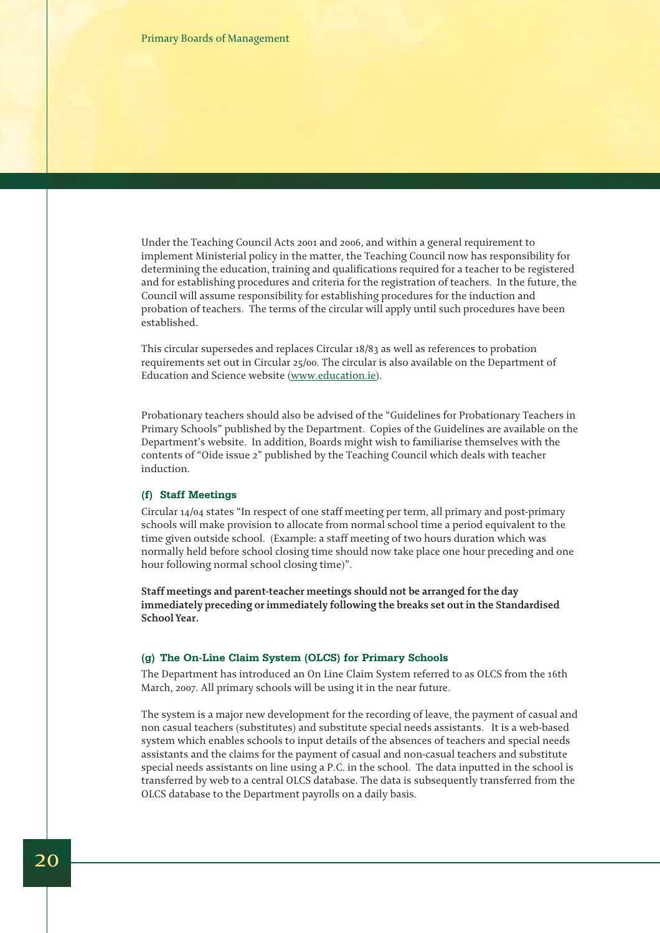Under the Teaching Council Acts 2001 and 2006, and within a general requirement to implement Ministerial policy in the matter, the Teaching Council now has responsibility for determining the education, training and qualifications required for a teacher to be registered and for establishing procedures and criteria for the registration of teachers. In the future, the Council will assume responsibility for establishing procedures for the induction and probation of teachers. The terms of the circular will apply until such procedures have been established.

This circular supersedes and replaces Circular 18/83 as well as references to probation requirements set out in Circular 25/00. The circular is also available on the Department of Education and Science website (www.education.ie).

Probationary teachers should also be advised of the "Guidelines for Probationary Teachers in Primary Schools" published by the Department. Copies of the Guidelines are available on the Department's website. In addition, Boards might wish to familiarise themselves with the contents of "Oide issue 2" published by the Teaching Council which deals with teacher induction.

#### **(f) Staff Meetings**

Circular 14/04 states "In respect of one staff meeting per term, all primary and post-primary schools will make provision to allocate from normal school time a period equivalent to the time given outside school. (Example: a staff meeting of two hours duration which was normally held before school closing time should now take place one hour preceding and one hour following normal school closing time)".

**Staff meetings and parent-teacher meetings should not be arranged for the day immediately preceding or immediately following the breaks set out in the Standardised School Year.**

#### **(g) The On-Line Claim System (OLCS) for Primary Schools**

The Department has introduced an On Line Claim System referred to as OLCS from the 16th March, 2007. All primary schools will be using it in the near future.

The system is a major new development for the recording of leave, the payment of casual and non casual teachers (substitutes) and substitute special needs assistants. It is a web-based system which enables schools to input details of the absences of teachers and special needs assistants and the claims for the payment of casual and non-casual teachers and substitute special needs assistants on line using a P.C. in the school. The data inputted in the school is transferred by web to a central OLCS database. The data is subsequently transferred from the OLCS database to the Department payrolls on a daily basis.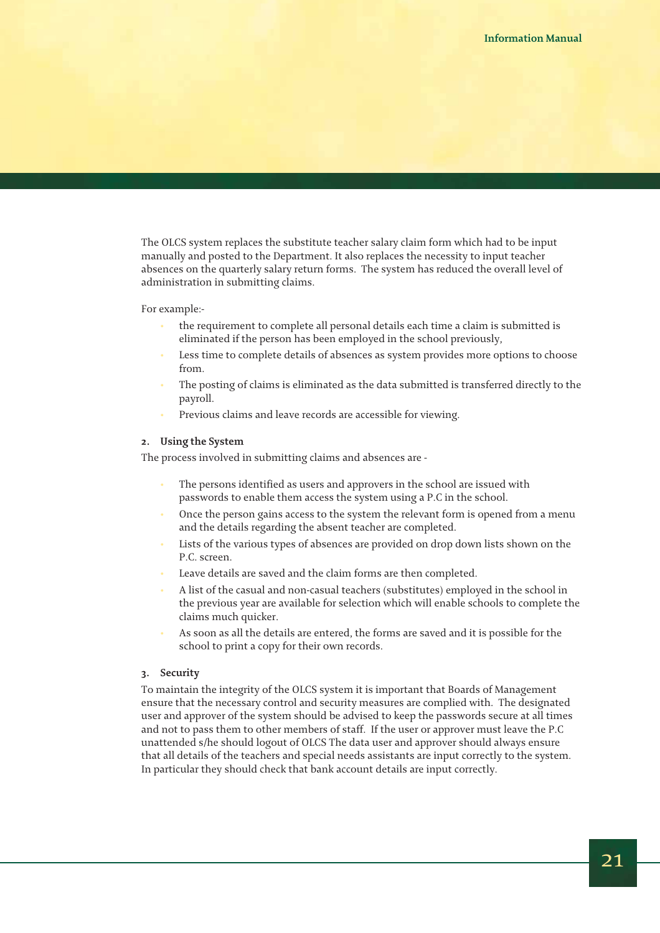The OLCS system replaces the substitute teacher salary claim form which had to be input manually and posted to the Department. It also replaces the necessity to input teacher absences on the quarterly salary return forms. The system has reduced the overall level of administration in submitting claims.

For example:-

- the requirement to complete all personal details each time a claim is submitted is eliminated if the person has been employed in the school previously,
- Less time to complete details of absences as system provides more options to choose from.
- The posting of claims is eliminated as the data submitted is transferred directly to the payroll.
- Previous claims and leave records are accessible for viewing.

#### **2. Using the System**

The process involved in submitting claims and absences are -

- The persons identified as users and approvers in the school are issued with passwords to enable them access the system using a P.C in the school.
- Once the person gains access to the system the relevant form is opened from a menu and the details regarding the absent teacher are completed.
- Lists of the various types of absences are provided on drop down lists shown on the P.C. screen.
- Leave details are saved and the claim forms are then completed.
- A list of the casual and non-casual teachers (substitutes) employed in the school in the previous year are available for selection which will enable schools to complete the claims much quicker.
- As soon as all the details are entered, the forms are saved and it is possible for the school to print a copy for their own records.

#### **3. Security**

To maintain the integrity of the OLCS system it is important that Boards of Management ensure that the necessary control and security measures are complied with. The designated user and approver of the system should be advised to keep the passwords secure at all times and not to pass them to other members of staff. If the user or approver must leave the P.C unattended s/he should logout of OLCS The data user and approver should always ensure that all details of the teachers and special needs assistants are input correctly to the system. In particular they should check that bank account details are input correctly.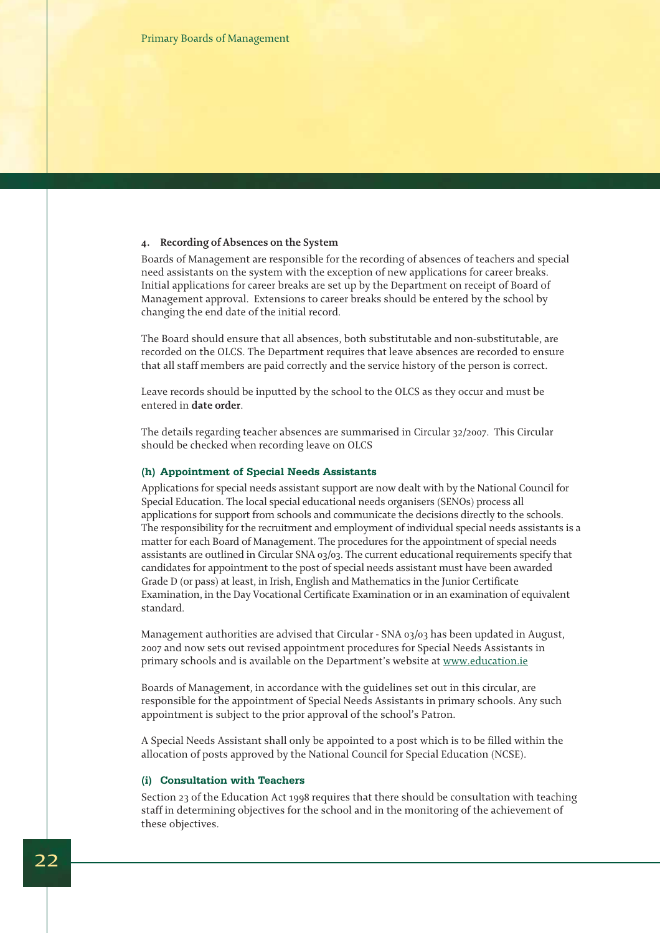#### **4. Recording of Absences on the System**

Boards of Management are responsible for the recording of absences of teachers and special need assistants on the system with the exception of new applications for career breaks. Initial applications for career breaks are set up by the Department on receipt of Board of Management approval. Extensions to career breaks should be entered by the school by changing the end date of the initial record.

The Board should ensure that all absences, both substitutable and non-substitutable, are recorded on the OLCS. The Department requires that leave absences are recorded to ensure that all staff members are paid correctly and the service history of the person is correct.

Leave records should be inputted by the school to the OLCS as they occur and must be entered in **date order**.

The details regarding teacher absences are summarised in Circular 32/2007. This Circular should be checked when recording leave on OLCS

#### **(h) Appointment of Special Needs Assistants**

Applications for special needs assistant support are now dealt with by the National Council for Special Education. The local special educational needs organisers (SENOs) process all applications for support from schools and communicate the decisions directly to the schools. The responsibility for the recruitment and employment of individual special needs assistants is a matter for each Board of Management. The procedures for the appointment of special needs assistants are outlined in Circular SNA 03/03. The current educational requirements specify that candidates for appointment to the post of special needs assistant must have been awarded Grade D (or pass) at least, in Irish, English and Mathematics in the Junior Certificate Examination, in the Day Vocational Certificate Examination or in an examination of equivalent standard.

Management authorities are advised that Circular - SNA 03/03 has been updated in August, 2007 and now sets out revised appointment procedures for Special Needs Assistants in primary schools and is available on the Department's website at www.education.ie

Boards of Management, in accordance with the guidelines set out in this circular, are responsible for the appointment of Special Needs Assistants in primary schools. Any such appointment is subject to the prior approval of the school's Patron.

A Special Needs Assistant shall only be appointed to a post which is to be filled within the allocation of posts approved by the National Council for Special Education (NCSE).

### **(i) Consultation with Teachers**

Section 23 of the Education Act 1998 requires that there should be consultation with teaching staff in determining objectives for the school and in the monitoring of the achievement of these objectives.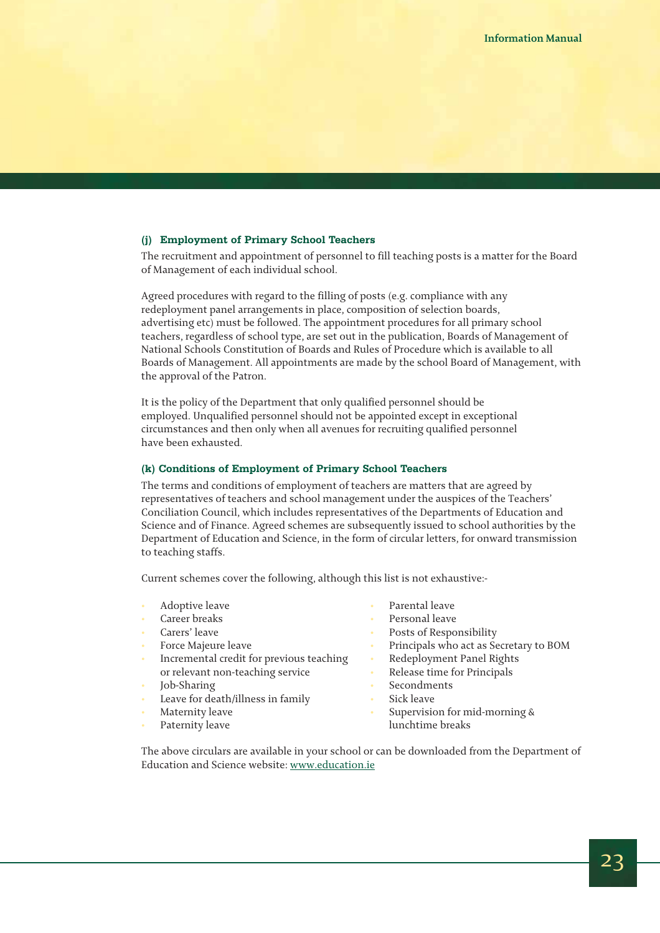#### **(j) Employment of Primary School Teachers**

The recruitment and appointment of personnel to fill teaching posts is a matter for the Board of Management of each individual school.

Agreed procedures with regard to the filling of posts (e.g. compliance with any redeployment panel arrangements in place, composition of selection boards, advertising etc) must be followed. The appointment procedures for all primary school teachers, regardless of school type, are set out in the publication, Boards of Management of National Schools Constitution of Boards and Rules of Procedure which is available to all Boards of Management. All appointments are made by the school Board of Management, with the approval of the Patron.

It is the policy of the Department that only qualified personnel should be employed. Unqualified personnel should not be appointed except in exceptional circumstances and then only when all avenues for recruiting qualified personnel have been exhausted.

#### **(k) Conditions of Employment of Primary School Teachers**

The terms and conditions of employment of teachers are matters that are agreed by representatives of teachers and school management under the auspices of the Teachers' Conciliation Council, which includes representatives of the Departments of Education and Science and of Finance. Agreed schemes are subsequently issued to school authorities by the Department of Education and Science, in the form of circular letters, for onward transmission to teaching staffs.

Current schemes cover the following, although this list is not exhaustive:-

- Adoptive leave
- Career breaks
- Carers' leave
- Force Majeure leave
- Incremental credit for previous teaching or relevant non-teaching service
- Job-Sharing
- Leave for death/illness in family
- Maternity leave
- Paternity leave
- Parental leave
- Personal leave
- Posts of Responsibility
- Principals who act as Secretary to BOM
- Redeployment Panel Rights
- Release time for Principals
- **Secondments**
- Sick leave
- Supervision for mid-morning & lunchtime breaks

The above circulars are available in your school or can be downloaded from the Department of Education and Science website: www.education.ie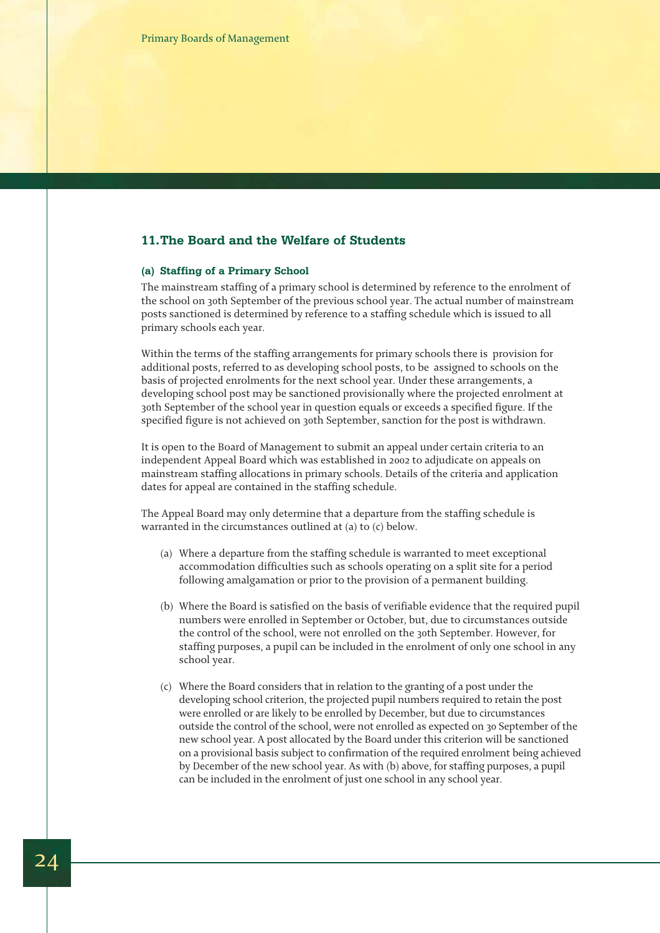## **11.The Board and the Welfare of Students**

## **(a) Staffing of a Primary School**

The mainstream staffing of a primary school is determined by reference to the enrolment of the school on 30th September of the previous school year. The actual number of mainstream posts sanctioned is determined by reference to a staffing schedule which is issued to all primary schools each year.

Within the terms of the staffing arrangements for primary schools there is provision for additional posts, referred to as developing school posts, to be assigned to schools on the basis of projected enrolments for the next school year. Under these arrangements, a developing school post may be sanctioned provisionally where the projected enrolment at 30th September of the school year in question equals or exceeds a specified figure. If the specified figure is not achieved on 30th September, sanction for the post is withdrawn.

It is open to the Board of Management to submit an appeal under certain criteria to an independent Appeal Board which was established in 2002 to adjudicate on appeals on mainstream staffing allocations in primary schools. Details of the criteria and application dates for appeal are contained in the staffing schedule.

The Appeal Board may only determine that a departure from the staffing schedule is warranted in the circumstances outlined at (a) to (c) below.

- (a) Where a departure from the staffing schedule is warranted to meet exceptional accommodation difficulties such as schools operating on a split site for a period following amalgamation or prior to the provision of a permanent building.
- (b) Where the Board is satisfied on the basis of verifiable evidence that the required pupil numbers were enrolled in September or October, but, due to circumstances outside the control of the school, were not enrolled on the 30th September. However, for staffing purposes, a pupil can be included in the enrolment of only one school in any school year.
- (c) Where the Board considers that in relation to the granting of a post under the developing school criterion, the projected pupil numbers required to retain the post were enrolled or are likely to be enrolled by December, but due to circumstances outside the control of the school, were not enrolled as expected on 30 September of the new school year. A post allocated by the Board under this criterion will be sanctioned on a provisional basis subject to confirmation of the required enrolment being achieved by December of the new school year. As with (b) above, for staffing purposes, a pupil can be included in the enrolment of just one school in any school year.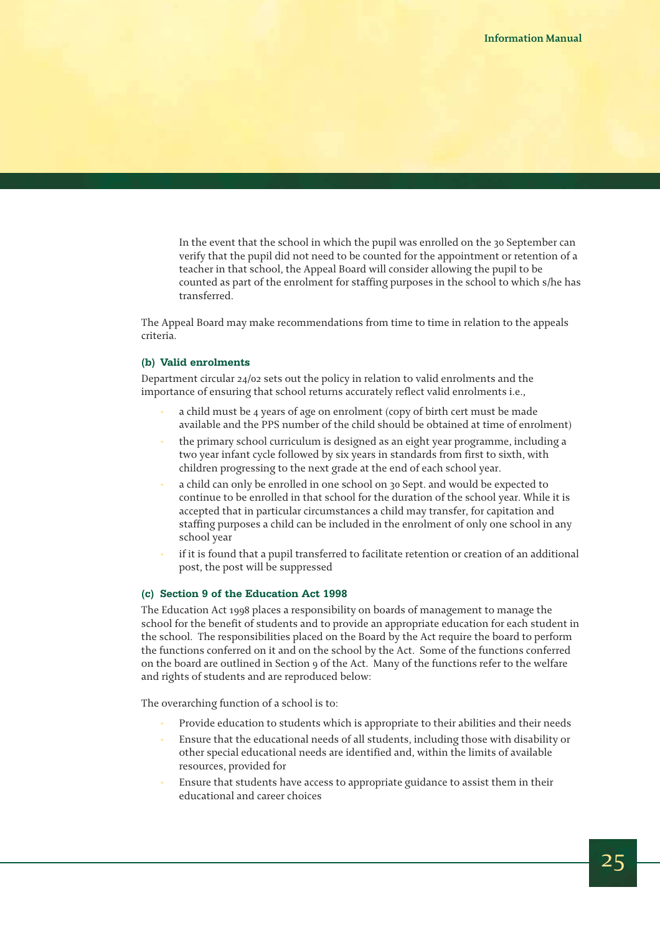In the event that the school in which the pupil was enrolled on the 30 September can verify that the pupil did not need to be counted for the appointment or retention of a teacher in that school, the Appeal Board will consider allowing the pupil to be counted as part of the enrolment for staffing purposes in the school to which s/he has transferred.

The Appeal Board may make recommendations from time to time in relation to the appeals criteria.

## **(b) Valid enrolments**

Department circular 24/02 sets out the policy in relation to valid enrolments and the importance of ensuring that school returns accurately reflect valid enrolments i.e.,

- a child must be 4 years of age on enrolment (copy of birth cert must be made available and the PPS number of the child should be obtained at time of enrolment)
- the primary school curriculum is designed as an eight year programme, including a two year infant cycle followed by six years in standards from first to sixth, with children progressing to the next grade at the end of each school year.
- a child can only be enrolled in one school on 30 Sept. and would be expected to continue to be enrolled in that school for the duration of the school year. While it is accepted that in particular circumstances a child may transfer, for capitation and staffing purposes a child can be included in the enrolment of only one school in any school year
- if it is found that a pupil transferred to facilitate retention or creation of an additional post, the post will be suppressed

#### **(c) Section 9 of the Education Act 1998**

The Education Act 1998 places a responsibility on boards of management to manage the school for the benefit of students and to provide an appropriate education for each student in the school. The responsibilities placed on the Board by the Act require the board to perform the functions conferred on it and on the school by the Act. Some of the functions conferred on the board are outlined in Section 9 of the Act. Many of the functions refer to the welfare and rights of students and are reproduced below:

The overarching function of a school is to:

- Provide education to students which is appropriate to their abilities and their needs
- Ensure that the educational needs of all students, including those with disability or other special educational needs are identified and, within the limits of available resources, provided for
- Ensure that students have access to appropriate guidance to assist them in their educational and career choices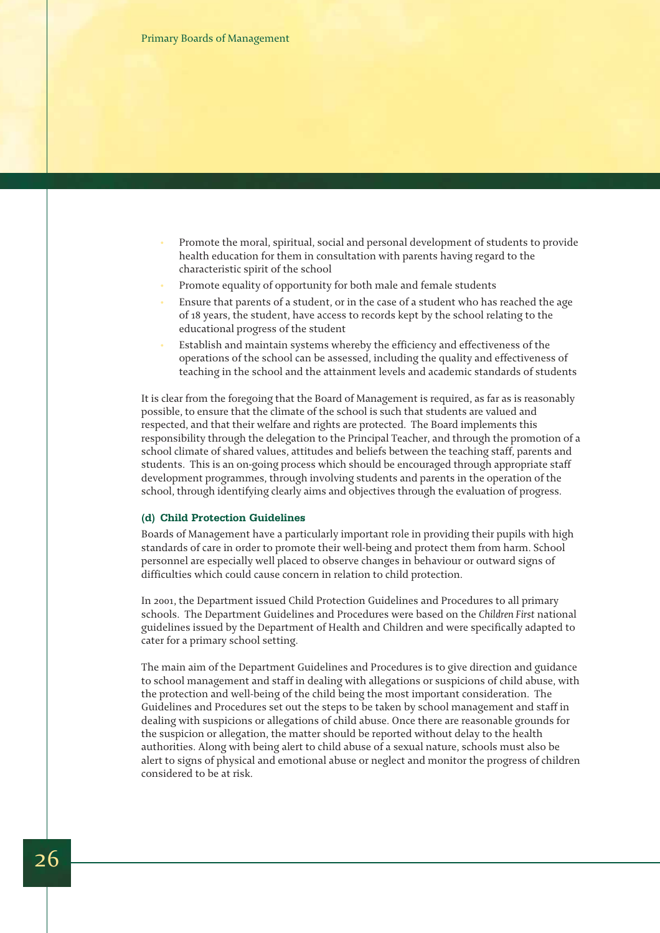- Promote the moral, spiritual, social and personal development of students to provide health education for them in consultation with parents having regard to the characteristic spirit of the school
- Promote equality of opportunity for both male and female students
- Ensure that parents of a student, or in the case of a student who has reached the age of 18 years, the student, have access to records kept by the school relating to the educational progress of the student
- Establish and maintain systems whereby the efficiency and effectiveness of the operations of the school can be assessed, including the quality and effectiveness of teaching in the school and the attainment levels and academic standards of students

It is clear from the foregoing that the Board of Management is required, as far as is reasonably possible, to ensure that the climate of the school is such that students are valued and respected, and that their welfare and rights are protected. The Board implements this responsibility through the delegation to the Principal Teacher, and through the promotion of a school climate of shared values, attitudes and beliefs between the teaching staff, parents and students. This is an on-going process which should be encouraged through appropriate staff development programmes, through involving students and parents in the operation of the school, through identifying clearly aims and objectives through the evaluation of progress.

#### **(d) Child Protection Guidelines**

Boards of Management have a particularly important role in providing their pupils with high standards of care in order to promote their well-being and protect them from harm. School personnel are especially well placed to observe changes in behaviour or outward signs of difficulties which could cause concern in relation to child protection.

In 2001, the Department issued Child Protection Guidelines and Procedures to all primary schools. The Department Guidelines and Procedures were based on the *Children First* national guidelines issued by the Department of Health and Children and were specifically adapted to cater for a primary school setting.

The main aim of the Department Guidelines and Procedures is to give direction and guidance to school management and staff in dealing with allegations or suspicions of child abuse, with the protection and well-being of the child being the most important consideration. The Guidelines and Procedures set out the steps to be taken by school management and staff in dealing with suspicions or allegations of child abuse. Once there are reasonable grounds for the suspicion or allegation, the matter should be reported without delay to the health authorities. Along with being alert to child abuse of a sexual nature, schools must also be alert to signs of physical and emotional abuse or neglect and monitor the progress of children considered to be at risk.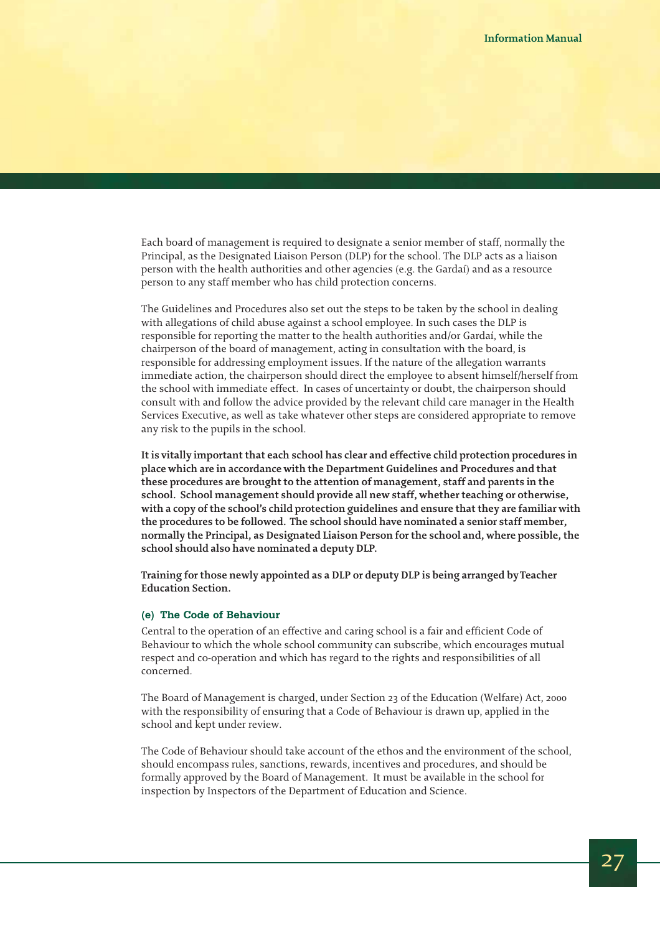Each board of management is required to designate a senior member of staff, normally the Principal, as the Designated Liaison Person (DLP) for the school. The DLP acts as a liaison person with the health authorities and other agencies (e.g. the Gardaí) and as a resource person to any staff member who has child protection concerns.

The Guidelines and Procedures also set out the steps to be taken by the school in dealing with allegations of child abuse against a school employee. In such cases the DLP is responsible for reporting the matter to the health authorities and/or Gardaí, while the chairperson of the board of management, acting in consultation with the board, is responsible for addressing employment issues. If the nature of the allegation warrants immediate action, the chairperson should direct the employee to absent himself/herself from the school with immediate effect. In cases of uncertainty or doubt, the chairperson should consult with and follow the advice provided by the relevant child care manager in the Health Services Executive, as well as take whatever other steps are considered appropriate to remove any risk to the pupils in the school.

**It is vitally important that each school has clear and effective child protection procedures in place which are in accordance with the Department Guidelines and Procedures and that these procedures are brought to the attention of management, staff and parents in the school. School management should provide all new staff, whether teaching or otherwise, with a copy of the school's child protection guidelines and ensure that they are familiar with the procedures to be followed. The school should have nominated a senior staff member, normally the Principal, as Designated Liaison Person for the school and, where possible, the school should also have nominated a deputy DLP.**

**Training for those newly appointed as a DLP or deputy DLP is being arranged by Teacher Education Section.**

#### **(e) The Code of Behaviour**

Central to the operation of an effective and caring school is a fair and efficient Code of Behaviour to which the whole school community can subscribe, which encourages mutual respect and co-operation and which has regard to the rights and responsibilities of all concerned.

The Board of Management is charged, under Section 23 of the Education (Welfare) Act, 2000 with the responsibility of ensuring that a Code of Behaviour is drawn up, applied in the school and kept under review.

The Code of Behaviour should take account of the ethos and the environment of the school, should encompass rules, sanctions, rewards, incentives and procedures, and should be formally approved by the Board of Management. It must be available in the school for inspection by Inspectors of the Department of Education and Science.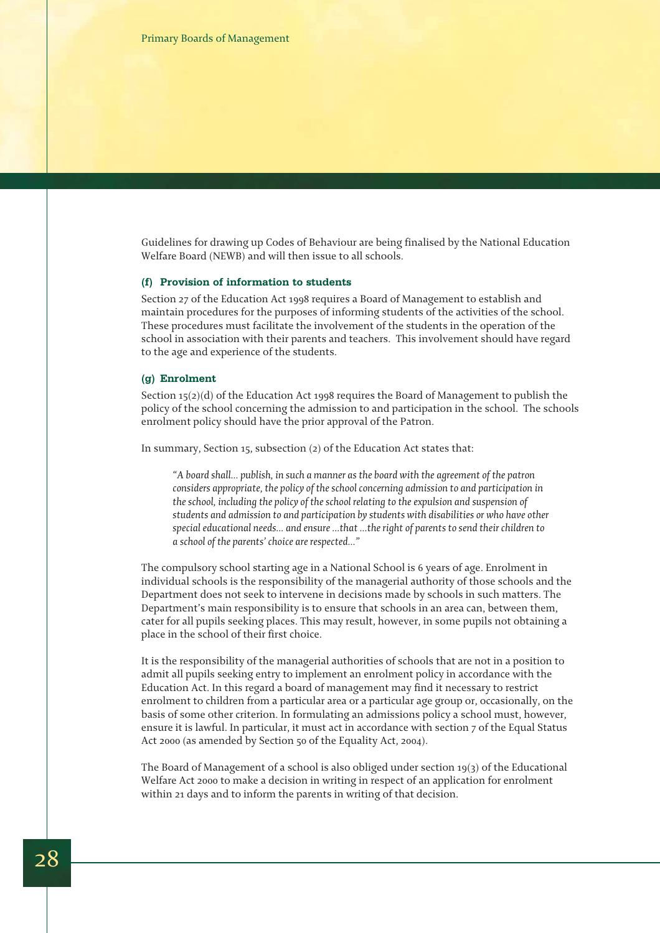Guidelines for drawing up Codes of Behaviour are being finalised by the National Education Welfare Board (NEWB) and will then issue to all schools.

#### **(f) Provision of information to students**

Section 27 of the Education Act 1998 requires a Board of Management to establish and maintain procedures for the purposes of informing students of the activities of the school. These procedures must facilitate the involvement of the students in the operation of the school in association with their parents and teachers. This involvement should have regard to the age and experience of the students.

#### **(g) Enrolment**

Section  $15(2)(d)$  of the Education Act 1998 requires the Board of Management to publish the policy of the school concerning the admission to and participation in the school. The schools enrolment policy should have the prior approval of the Patron.

In summary, Section 15, subsection (2) of the Education Act states that:

*"A board shall... publish, in such a manner as the board with the agreement of the patron considers appropriate, the policy of the school concerning admission to and participation in the school, including the policy of the school relating to the expulsion and suspension of students and admission to and participation by students with disabilities or who have other special educational needs... and ensure ...that ...the right of parents to send their children to a school of the parents' choice are respected..."*

The compulsory school starting age in a National School is 6 years of age. Enrolment in individual schools is the responsibility of the managerial authority of those schools and the Department does not seek to intervene in decisions made by schools in such matters. The Department's main responsibility is to ensure that schools in an area can, between them, cater for all pupils seeking places. This may result, however, in some pupils not obtaining a place in the school of their first choice.

It is the responsibility of the managerial authorities of schools that are not in a position to admit all pupils seeking entry to implement an enrolment policy in accordance with the Education Act. In this regard a board of management may find it necessary to restrict enrolment to children from a particular area or a particular age group or, occasionally, on the basis of some other criterion. In formulating an admissions policy a school must, however, ensure it is lawful. In particular, it must act in accordance with section 7 of the Equal Status Act 2000 (as amended by Section 50 of the Equality Act, 2004).

The Board of Management of a school is also obliged under section 19(3) of the Educational Welfare Act 2000 to make a decision in writing in respect of an application for enrolment within 21 days and to inform the parents in writing of that decision.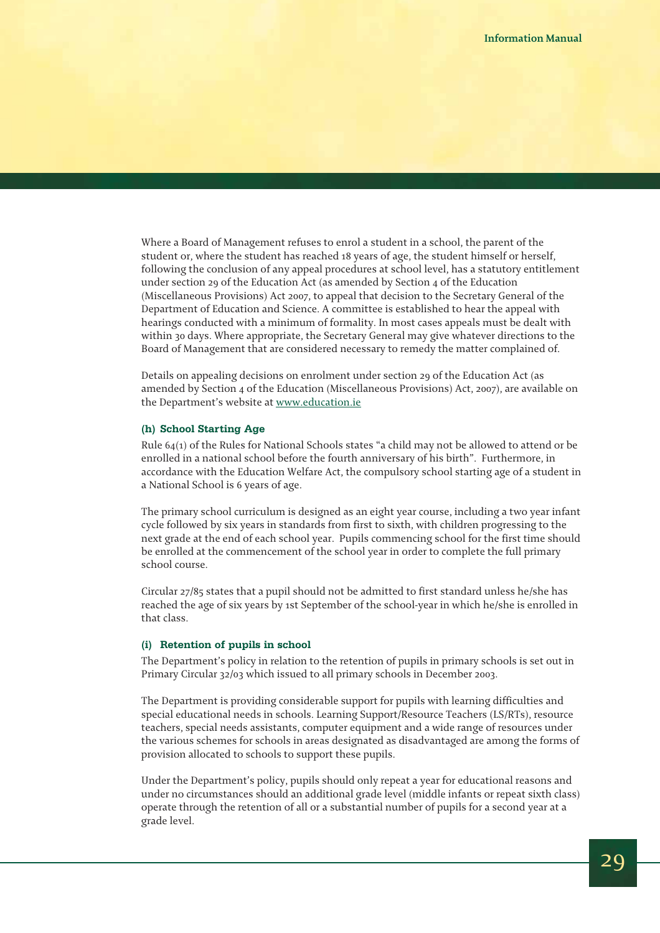Where a Board of Management refuses to enrol a student in a school, the parent of the student or, where the student has reached 18 years of age, the student himself or herself, following the conclusion of any appeal procedures at school level, has a statutory entitlement under section 29 of the Education Act (as amended by Section 4 of the Education (Miscellaneous Provisions) Act 2007, to appeal that decision to the Secretary General of the Department of Education and Science. A committee is established to hear the appeal with hearings conducted with a minimum of formality. In most cases appeals must be dealt with within 30 days. Where appropriate, the Secretary General may give whatever directions to the Board of Management that are considered necessary to remedy the matter complained of.

Details on appealing decisions on enrolment under section 29 of the Education Act (as amended by Section 4 of the Education (Miscellaneous Provisions) Act, 2007), are available on the Department's website at www.education.ie

#### **(h) School Starting Age**

Rule 64(1) of the Rules for National Schools states "a child may not be allowed to attend or be enrolled in a national school before the fourth anniversary of his birth". Furthermore, in accordance with the Education Welfare Act, the compulsory school starting age of a student in a National School is 6 years of age.

The primary school curriculum is designed as an eight year course, including a two year infant cycle followed by six years in standards from first to sixth, with children progressing to the next grade at the end of each school year. Pupils commencing school for the first time should be enrolled at the commencement of the school year in order to complete the full primary school course.

Circular 27/85 states that a pupil should not be admitted to first standard unless he/she has reached the age of six years by 1st September of the school-year in which he/she is enrolled in that class.

#### **(i) Retention of pupils in school**

The Department's policy in relation to the retention of pupils in primary schools is set out in Primary Circular 32/03 which issued to all primary schools in December 2003.

The Department is providing considerable support for pupils with learning difficulties and special educational needs in schools. Learning Support/Resource Teachers (LS/RTs), resource teachers, special needs assistants, computer equipment and a wide range of resources under the various schemes for schools in areas designated as disadvantaged are among the forms of provision allocated to schools to support these pupils.

Under the Department's policy, pupils should only repeat a year for educational reasons and under no circumstances should an additional grade level (middle infants or repeat sixth class) operate through the retention of all or a substantial number of pupils for a second year at a grade level.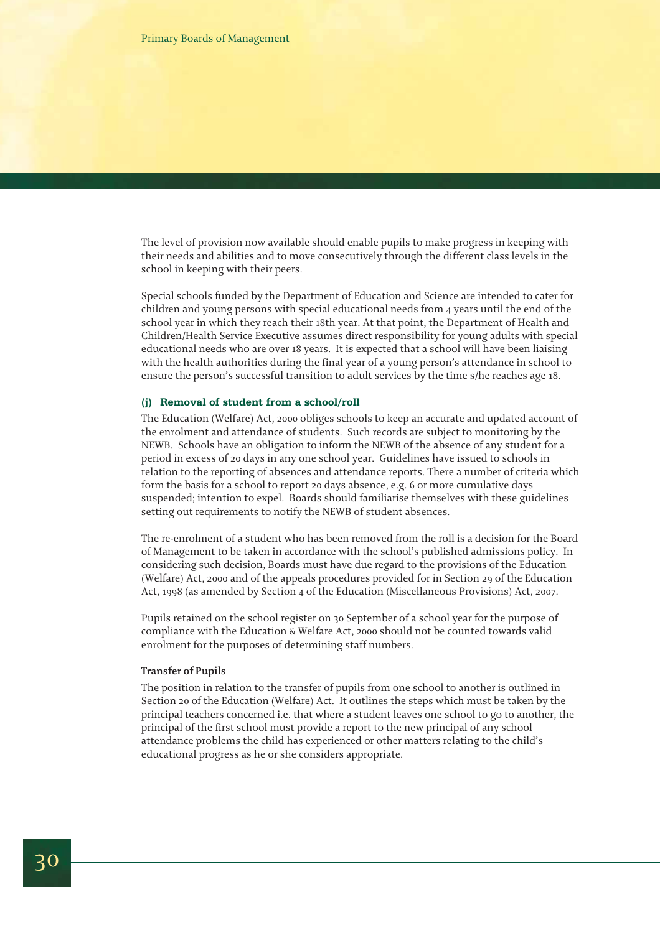The level of provision now available should enable pupils to make progress in keeping with their needs and abilities and to move consecutively through the different class levels in the school in keeping with their peers.

Special schools funded by the Department of Education and Science are intended to cater for children and young persons with special educational needs from 4 years until the end of the school year in which they reach their 18th year. At that point, the Department of Health and Children/Health Service Executive assumes direct responsibility for young adults with special educational needs who are over 18 years. It is expected that a school will have been liaising with the health authorities during the final year of a young person's attendance in school to ensure the person's successful transition to adult services by the time s/he reaches age 18.

#### **(j) Removal of student from a school/roll**

The Education (Welfare) Act, 2000 obliges schools to keep an accurate and updated account of the enrolment and attendance of students. Such records are subject to monitoring by the NEWB. Schools have an obligation to inform the NEWB of the absence of any student for a period in excess of 20 days in any one school year. Guidelines have issued to schools in relation to the reporting of absences and attendance reports. There a number of criteria which form the basis for a school to report 20 days absence, e.g. 6 or more cumulative days suspended; intention to expel. Boards should familiarise themselves with these guidelines setting out requirements to notify the NEWB of student absences.

The re-enrolment of a student who has been removed from the roll is a decision for the Board of Management to be taken in accordance with the school's published admissions policy. In considering such decision, Boards must have due regard to the provisions of the Education (Welfare) Act, 2000 and of the appeals procedures provided for in Section 29 of the Education Act, 1998 (as amended by Section 4 of the Education (Miscellaneous Provisions) Act, 2007.

Pupils retained on the school register on 30 September of a school year for the purpose of compliance with the Education & Welfare Act, 2000 should not be counted towards valid enrolment for the purposes of determining staff numbers.

#### **Transfer of Pupils**

The position in relation to the transfer of pupils from one school to another is outlined in Section 20 of the Education (Welfare) Act. It outlines the steps which must be taken by the principal teachers concerned i.e. that where a student leaves one school to go to another, the principal of the first school must provide a report to the new principal of any school attendance problems the child has experienced or other matters relating to the child's educational progress as he or she considers appropriate.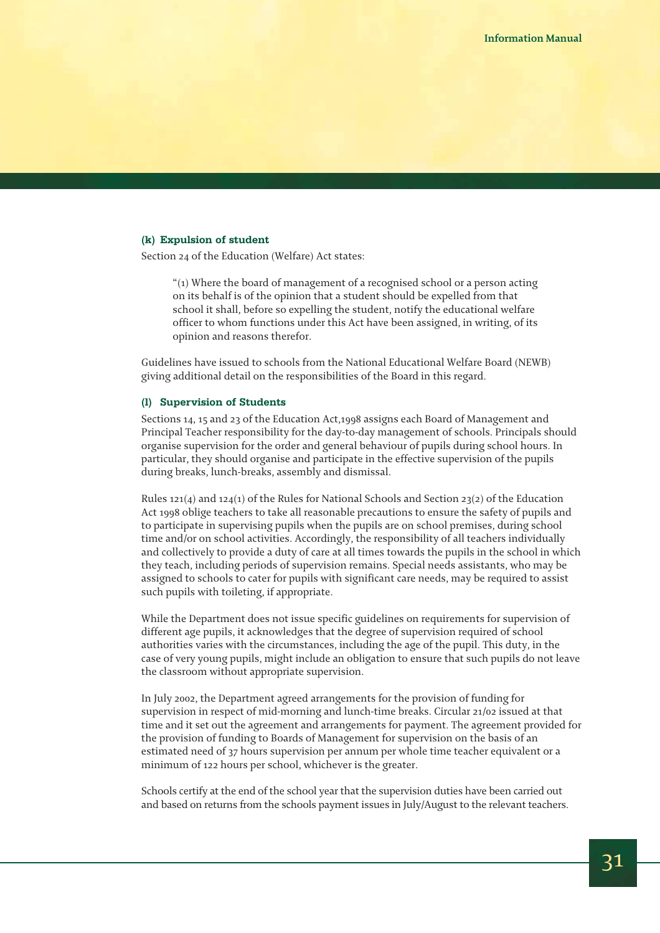## **(k) Expulsion of student**

Section 24 of the Education (Welfare) Act states:

"(1) Where the board of management of a recognised school or a person acting on its behalf is of the opinion that a student should be expelled from that school it shall, before so expelling the student, notify the educational welfare officer to whom functions under this Act have been assigned, in writing, of its opinion and reasons therefor.

Guidelines have issued to schools from the National Educational Welfare Board (NEWB) giving additional detail on the responsibilities of the Board in this regard.

#### **(l) Supervision of Students**

Sections 14, 15 and 23 of the Education Act,1998 assigns each Board of Management and Principal Teacher responsibility for the day-to-day management of schools. Principals should organise supervision for the order and general behaviour of pupils during school hours. In particular, they should organise and participate in the effective supervision of the pupils during breaks, lunch-breaks, assembly and dismissal.

Rules 121(4) and 124(1) of the Rules for National Schools and Section 23(2) of the Education Act 1998 oblige teachers to take all reasonable precautions to ensure the safety of pupils and to participate in supervising pupils when the pupils are on school premises, during school time and/or on school activities. Accordingly, the responsibility of all teachers individually and collectively to provide a duty of care at all times towards the pupils in the school in which they teach, including periods of supervision remains. Special needs assistants, who may be assigned to schools to cater for pupils with significant care needs, may be required to assist such pupils with toileting, if appropriate.

While the Department does not issue specific guidelines on requirements for supervision of different age pupils, it acknowledges that the degree of supervision required of school authorities varies with the circumstances, including the age of the pupil. This duty, in the case of very young pupils, might include an obligation to ensure that such pupils do not leave the classroom without appropriate supervision.

In July 2002, the Department agreed arrangements for the provision of funding for supervision in respect of mid-morning and lunch-time breaks. Circular 21/02 issued at that time and it set out the agreement and arrangements for payment. The agreement provided for the provision of funding to Boards of Management for supervision on the basis of an estimated need of 37 hours supervision per annum per whole time teacher equivalent or a minimum of 122 hours per school, whichever is the greater.

Schools certify at the end of the school year that the supervision duties have been carried out and based on returns from the schools payment issues in July/August to the relevant teachers.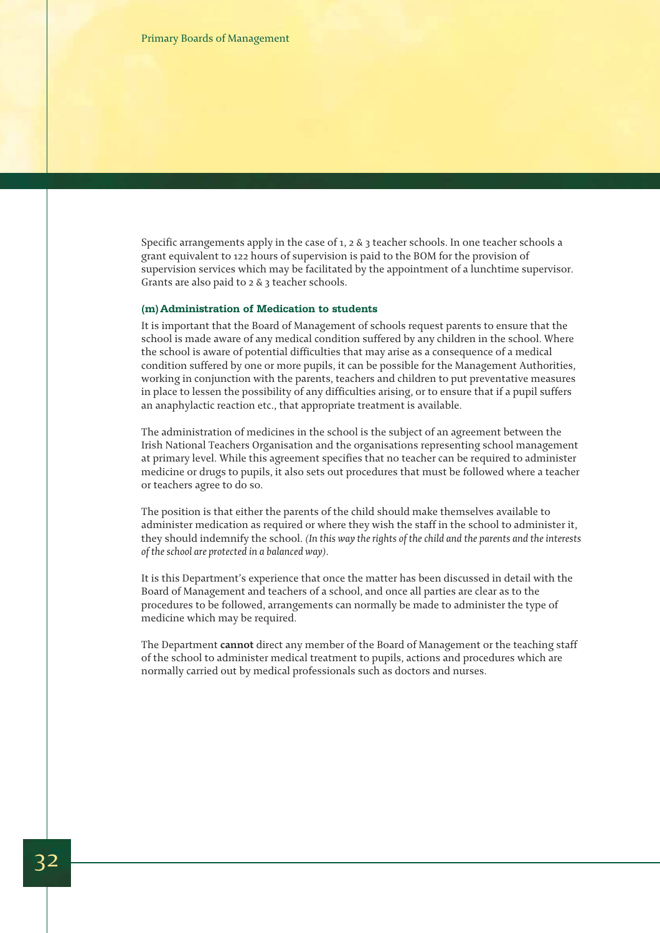Specific arrangements apply in the case of  $1$ ,  $2 \& 3$  teacher schools. In one teacher schools a grant equivalent to 122 hours of supervision is paid to the BOM for the provision of supervision services which may be facilitated by the appointment of a lunchtime supervisor. Grants are also paid to 2 & 3 teacher schools.

#### **(m)Administration of Medication to students**

It is important that the Board of Management of schools request parents to ensure that the school is made aware of any medical condition suffered by any children in the school. Where the school is aware of potential difficulties that may arise as a consequence of a medical condition suffered by one or more pupils, it can be possible for the Management Authorities, working in conjunction with the parents, teachers and children to put preventative measures in place to lessen the possibility of any difficulties arising, or to ensure that if a pupil suffers an anaphylactic reaction etc., that appropriate treatment is available.

The administration of medicines in the school is the subject of an agreement between the Irish National Teachers Organisation and the organisations representing school management at primary level. While this agreement specifies that no teacher can be required to administer medicine or drugs to pupils, it also sets out procedures that must be followed where a teacher or teachers agree to do so.

The position is that either the parents of the child should make themselves available to administer medication as required or where they wish the staff in the school to administer it, they should indemnify the school. *(In this way the rights of the child and the parents and the interests of the school are protected in a balanced way)*.

It is this Department's experience that once the matter has been discussed in detail with the Board of Management and teachers of a school, and once all parties are clear as to the procedures to be followed, arrangements can normally be made to administer the type of medicine which may be required.

The Department **cannot** direct any member of the Board of Management or the teaching staff of the school to administer medical treatment to pupils, actions and procedures which are normally carried out by medical professionals such as doctors and nurses.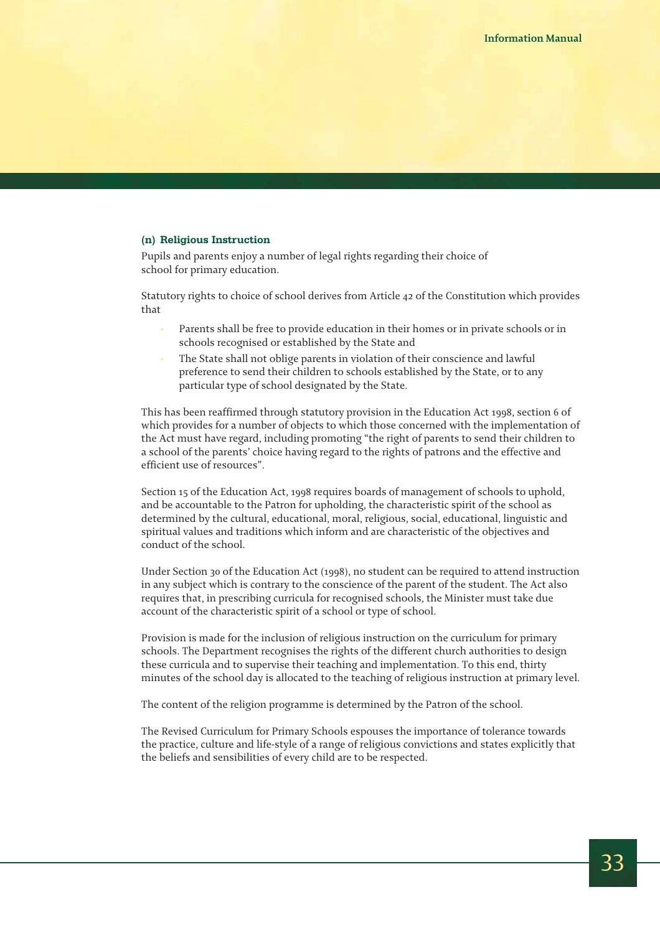#### **(n) Religious Instruction**

Pupils and parents enjoy a number of legal rights regarding their choice of school for primary education.

Statutory rights to choice of school derives from Article 42 of the Constitution which provides that

- Parents shall be free to provide education in their homes or in private schools or in schools recognised or established by the State and
- The State shall not oblige parents in violation of their conscience and lawful preference to send their children to schools established by the State, or to any particular type of school designated by the State.

This has been reaffirmed through statutory provision in the Education Act 1998, section 6 of which provides for a number of objects to which those concerned with the implementation of the Act must have regard, including promoting "the right of parents to send their children to a school of the parents' choice having regard to the rights of patrons and the effective and efficient use of resources".

Section 15 of the Education Act, 1998 requires boards of management of schools to uphold, and be accountable to the Patron for upholding, the characteristic spirit of the school as determined by the cultural, educational, moral, religious, social, educational, linguistic and spiritual values and traditions which inform and are characteristic of the objectives and conduct of the school.

Under Section 30 of the Education Act (1998), no student can be required to attend instruction in any subject which is contrary to the conscience of the parent of the student. The Act also requires that, in prescribing curricula for recognised schools, the Minister must take due account of the characteristic spirit of a school or type of school.

Provision is made for the inclusion of religious instruction on the curriculum for primary schools. The Department recognises the rights of the different church authorities to design these curricula and to supervise their teaching and implementation. To this end, thirty minutes of the school day is allocated to the teaching of religious instruction at primary level.

The content of the religion programme is determined by the Patron of the school.

The Revised Curriculum for Primary Schools espouses the importance of tolerance towards the practice, culture and life-style of a range of religious convictions and states explicitly that the beliefs and sensibilities of every child are to be respected.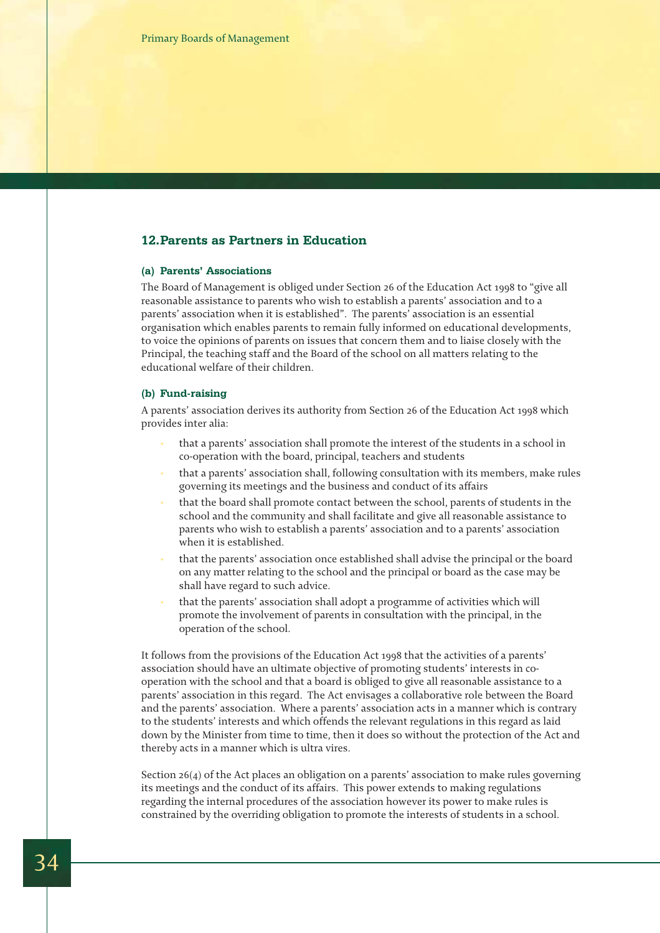## **12.Parents as Partners in Education**

## **(a) Parents' Associations**

The Board of Management is obliged under Section 26 of the Education Act 1998 to "give all reasonable assistance to parents who wish to establish a parents' association and to a parents' association when it is established". The parents' association is an essential organisation which enables parents to remain fully informed on educational developments, to voice the opinions of parents on issues that concern them and to liaise closely with the Principal, the teaching staff and the Board of the school on all matters relating to the educational welfare of their children.

## **(b) Fund-raising**

A parents' association derives its authority from Section 26 of the Education Act 1998 which provides inter alia:

- that a parents' association shall promote the interest of the students in a school in co-operation with the board, principal, teachers and students
- that a parents' association shall, following consultation with its members, make rules governing its meetings and the business and conduct of its affairs
- that the board shall promote contact between the school, parents of students in the school and the community and shall facilitate and give all reasonable assistance to parents who wish to establish a parents' association and to a parents' association when it is established.
- that the parents' association once established shall advise the principal or the board on any matter relating to the school and the principal or board as the case may be shall have regard to such advice.
- that the parents' association shall adopt a programme of activities which will promote the involvement of parents in consultation with the principal, in the operation of the school.

It follows from the provisions of the Education Act 1998 that the activities of a parents' association should have an ultimate objective of promoting students' interests in cooperation with the school and that a board is obliged to give all reasonable assistance to a parents' association in this regard. The Act envisages a collaborative role between the Board and the parents' association. Where a parents' association acts in a manner which is contrary to the students' interests and which offends the relevant regulations in this regard as laid down by the Minister from time to time, then it does so without the protection of the Act and thereby acts in a manner which is ultra vires.

Section 26(4) of the Act places an obligation on a parents' association to make rules governing its meetings and the conduct of its affairs. This power extends to making regulations regarding the internal procedures of the association however its power to make rules is constrained by the overriding obligation to promote the interests of students in a school.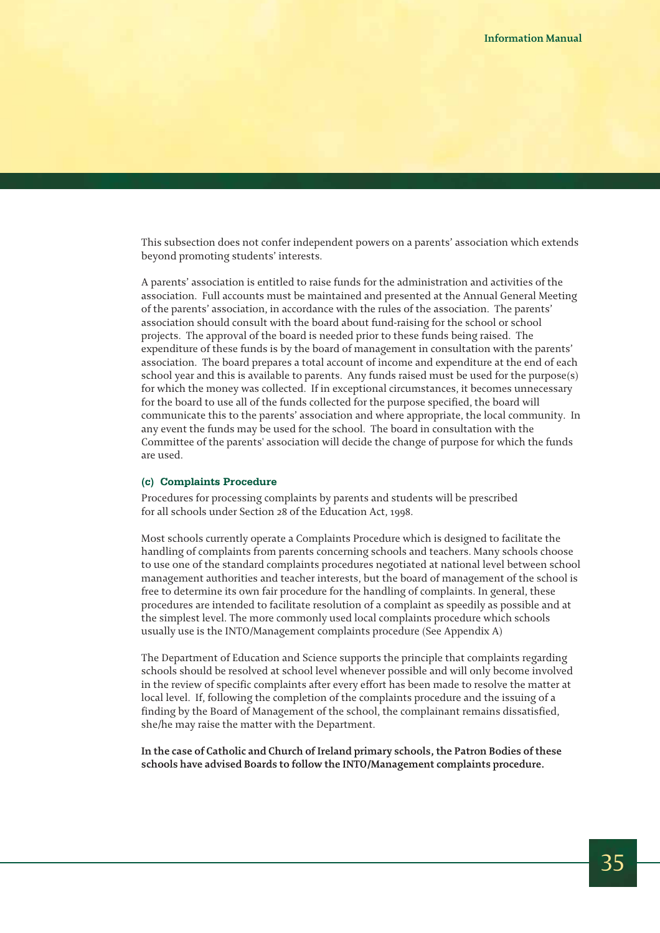This subsection does not confer independent powers on a parents' association which extends beyond promoting students' interests.

A parents' association is entitled to raise funds for the administration and activities of the association. Full accounts must be maintained and presented at the Annual General Meeting of the parents' association, in accordance with the rules of the association. The parents' association should consult with the board about fund-raising for the school or school projects. The approval of the board is needed prior to these funds being raised. The expenditure of these funds is by the board of management in consultation with the parents' association. The board prepares a total account of income and expenditure at the end of each school year and this is available to parents. Any funds raised must be used for the purpose(s) for which the money was collected. If in exceptional circumstances, it becomes unnecessary for the board to use all of the funds collected for the purpose specified, the board will communicate this to the parents' association and where appropriate, the local community. In any event the funds may be used for the school. The board in consultation with the Committee of the parents' association will decide the change of purpose for which the funds are used.

#### **(c) Complaints Procedure**

Procedures for processing complaints by parents and students will be prescribed for all schools under Section 28 of the Education Act, 1998.

Most schools currently operate a Complaints Procedure which is designed to facilitate the handling of complaints from parents concerning schools and teachers. Many schools choose to use one of the standard complaints procedures negotiated at national level between school management authorities and teacher interests, but the board of management of the school is free to determine its own fair procedure for the handling of complaints. In general, these procedures are intended to facilitate resolution of a complaint as speedily as possible and at the simplest level. The more commonly used local complaints procedure which schools usually use is the INTO/Management complaints procedure (See Appendix A)

The Department of Education and Science supports the principle that complaints regarding schools should be resolved at school level whenever possible and will only become involved in the review of specific complaints after every effort has been made to resolve the matter at local level. If, following the completion of the complaints procedure and the issuing of a finding by the Board of Management of the school, the complainant remains dissatisfied, she/he may raise the matter with the Department.

**In the case of Catholic and Church of Ireland primary schools, the Patron Bodies of these schools have advised Boards to follow the INTO/Management complaints procedure.**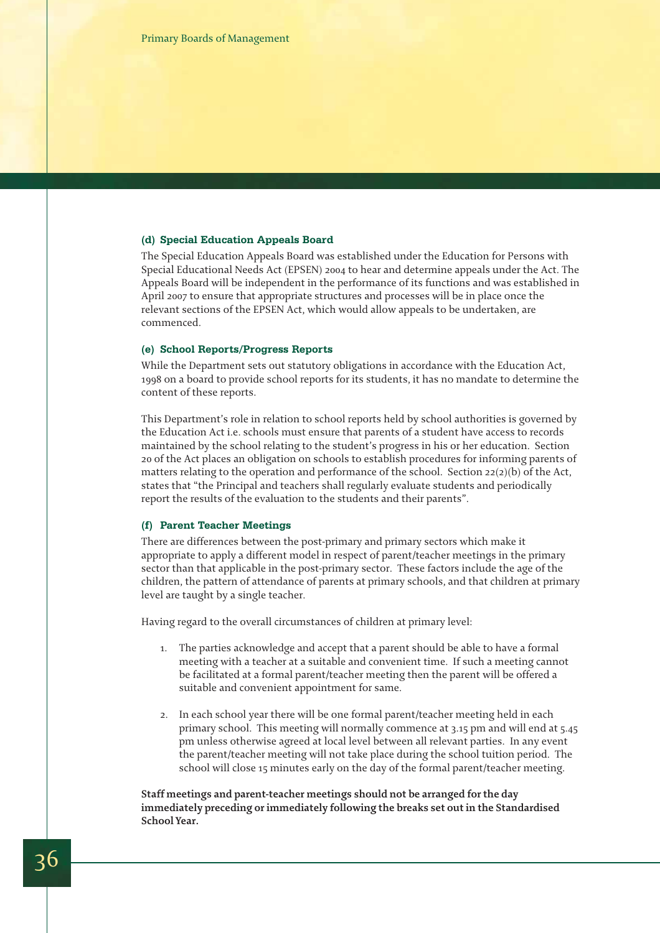#### **(d) Special Education Appeals Board**

The Special Education Appeals Board was established under the Education for Persons with Special Educational Needs Act (EPSEN) 2004 to hear and determine appeals under the Act. The Appeals Board will be independent in the performance of its functions and was established in April 2007 to ensure that appropriate structures and processes will be in place once the relevant sections of the EPSEN Act, which would allow appeals to be undertaken, are commenced.

#### **(e) School Reports/Progress Reports**

While the Department sets out statutory obligations in accordance with the Education Act, 1998 on a board to provide school reports for its students, it has no mandate to determine the content of these reports.

This Department's role in relation to school reports held by school authorities is governed by the Education Act i.e. schools must ensure that parents of a student have access to records maintained by the school relating to the student's progress in his or her education. Section 20 of the Act places an obligation on schools to establish procedures for informing parents of matters relating to the operation and performance of the school. Section  $22(2)(b)$  of the Act, states that "the Principal and teachers shall regularly evaluate students and periodically report the results of the evaluation to the students and their parents".

#### **(f) Parent Teacher Meetings**

There are differences between the post-primary and primary sectors which make it appropriate to apply a different model in respect of parent/teacher meetings in the primary sector than that applicable in the post-primary sector. These factors include the age of the children, the pattern of attendance of parents at primary schools, and that children at primary level are taught by a single teacher.

Having regard to the overall circumstances of children at primary level:

- 1. The parties acknowledge and accept that a parent should be able to have a formal meeting with a teacher at a suitable and convenient time. If such a meeting cannot be facilitated at a formal parent/teacher meeting then the parent will be offered a suitable and convenient appointment for same.
- 2. In each school year there will be one formal parent/teacher meeting held in each primary school. This meeting will normally commence at 3.15 pm and will end at 5.45 pm unless otherwise agreed at local level between all relevant parties. In any event the parent/teacher meeting will not take place during the school tuition period. The school will close 15 minutes early on the day of the formal parent/teacher meeting.

**Staff meetings and parent-teacher meetings should not be arranged for the day immediately preceding or immediately following the breaks set out in the Standardised School Year.**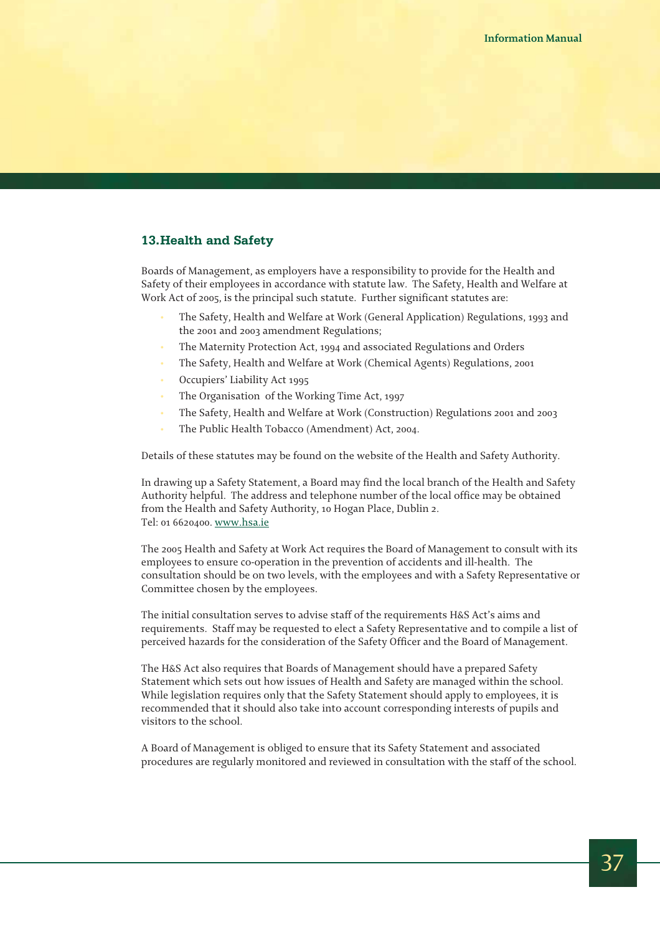## **13.Health and Safety**

Boards of Management, as employers have a responsibility to provide for the Health and Safety of their employees in accordance with statute law. The Safety, Health and Welfare at Work Act of 2005, is the principal such statute. Further significant statutes are:

- The Safety, Health and Welfare at Work (General Application) Regulations, 1993 and the 2001 and 2003 amendment Regulations;
- The Maternity Protection Act, 1994 and associated Regulations and Orders
- The Safety, Health and Welfare at Work (Chemical Agents) Regulations, 2001
- Occupiers' Liability Act 1995
- The Organisation of the Working Time Act, 1997
- The Safety, Health and Welfare at Work (Construction) Regulations 2001 and 2003
- The Public Health Tobacco (Amendment) Act, 2004.

Details of these statutes may be found on the website of the Health and Safety Authority.

In drawing up a Safety Statement, a Board may find the local branch of the Health and Safety Authority helpful. The address and telephone number of the local office may be obtained from the Health and Safety Authority, 10 Hogan Place, Dublin 2. Tel: 01 6620400. www.hsa.ie

The 2005 Health and Safety at Work Act requires the Board of Management to consult with its employees to ensure co-operation in the prevention of accidents and ill-health. The consultation should be on two levels, with the employees and with a Safety Representative or Committee chosen by the employees.

The initial consultation serves to advise staff of the requirements H&S Act's aims and requirements. Staff may be requested to elect a Safety Representative and to compile a list of perceived hazards for the consideration of the Safety Officer and the Board of Management.

The H&S Act also requires that Boards of Management should have a prepared Safety Statement which sets out how issues of Health and Safety are managed within the school. While legislation requires only that the Safety Statement should apply to employees, it is recommended that it should also take into account corresponding interests of pupils and visitors to the school.

A Board of Management is obliged to ensure that its Safety Statement and associated procedures are regularly monitored and reviewed in consultation with the staff of the school.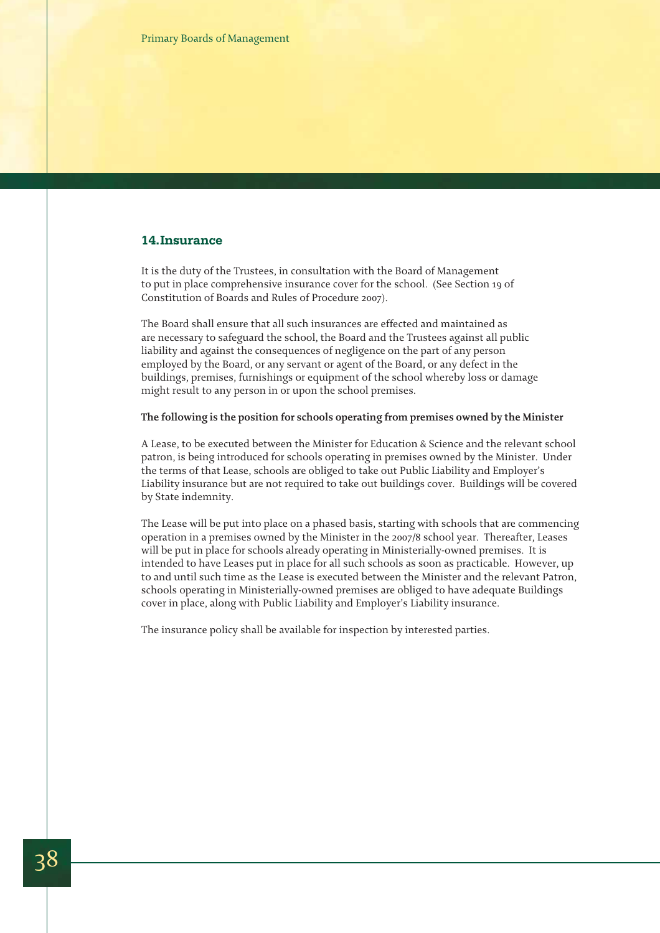## **14.Insurance**

It is the duty of the Trustees, in consultation with the Board of Management to put in place comprehensive insurance cover for the school. (See Section 19 of Constitution of Boards and Rules of Procedure 2007).

The Board shall ensure that all such insurances are effected and maintained as are necessary to safeguard the school, the Board and the Trustees against all public liability and against the consequences of negligence on the part of any person employed by the Board, or any servant or agent of the Board, or any defect in the buildings, premises, furnishings or equipment of the school whereby loss or damage might result to any person in or upon the school premises.

#### **The following is the position for schools operating from premises owned by the Minister**

A Lease, to be executed between the Minister for Education & Science and the relevant school patron, is being introduced for schools operating in premises owned by the Minister. Under the terms of that Lease, schools are obliged to take out Public Liability and Employer's Liability insurance but are not required to take out buildings cover. Buildings will be covered by State indemnity.

The Lease will be put into place on a phased basis, starting with schools that are commencing operation in a premises owned by the Minister in the 2007/8 school year. Thereafter, Leases will be put in place for schools already operating in Ministerially-owned premises. It is intended to have Leases put in place for all such schools as soon as practicable. However, up to and until such time as the Lease is executed between the Minister and the relevant Patron, schools operating in Ministerially-owned premises are obliged to have adequate Buildings cover in place, along with Public Liability and Employer's Liability insurance.

The insurance policy shall be available for inspection by interested parties.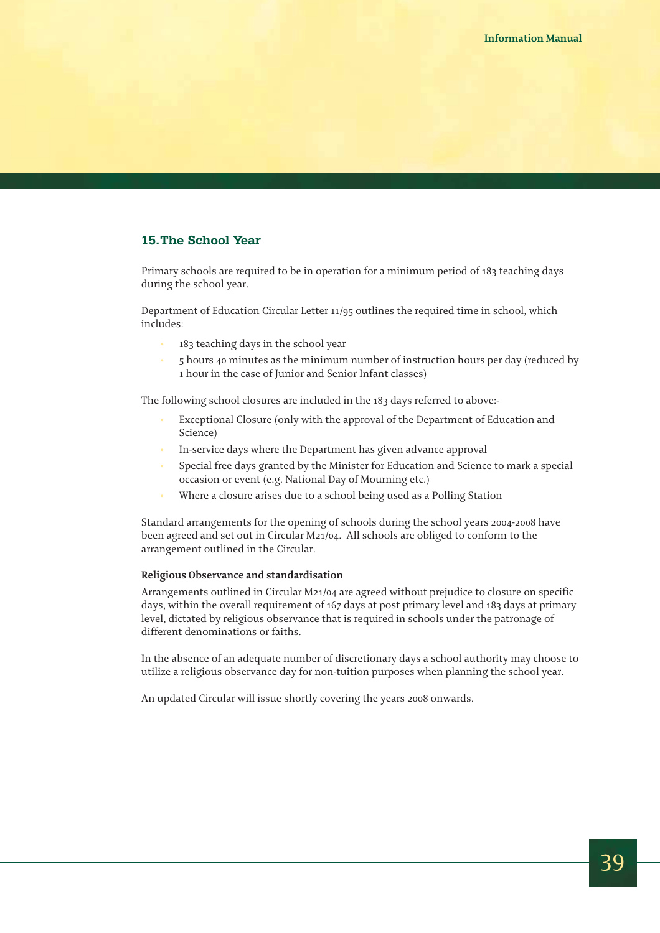## **15.The School Year**

Primary schools are required to be in operation for a minimum period of 183 teaching days during the school year.

Department of Education Circular Letter 11/95 outlines the required time in school, which includes:

- 183 teaching days in the school year
- 5 hours 40 minutes as the minimum number of instruction hours per day (reduced by 1 hour in the case of Junior and Senior Infant classes)

The following school closures are included in the 183 days referred to above:-

- Exceptional Closure (only with the approval of the Department of Education and Science)
- In-service days where the Department has given advance approval
- Special free days granted by the Minister for Education and Science to mark a special occasion or event (e.g. National Day of Mourning etc.)
- Where a closure arises due to a school being used as a Polling Station

Standard arrangements for the opening of schools during the school years 2004-2008 have been agreed and set out in Circular M21/04. All schools are obliged to conform to the arrangement outlined in the Circular.

#### **Religious Observance and standardisation**

Arrangements outlined in Circular M21/04 are agreed without prejudice to closure on specific days, within the overall requirement of 167 days at post primary level and 183 days at primary level, dictated by religious observance that is required in schools under the patronage of different denominations or faiths.

In the absence of an adequate number of discretionary days a school authority may choose to utilize a religious observance day for non-tuition purposes when planning the school year.

An updated Circular will issue shortly covering the years 2008 onwards.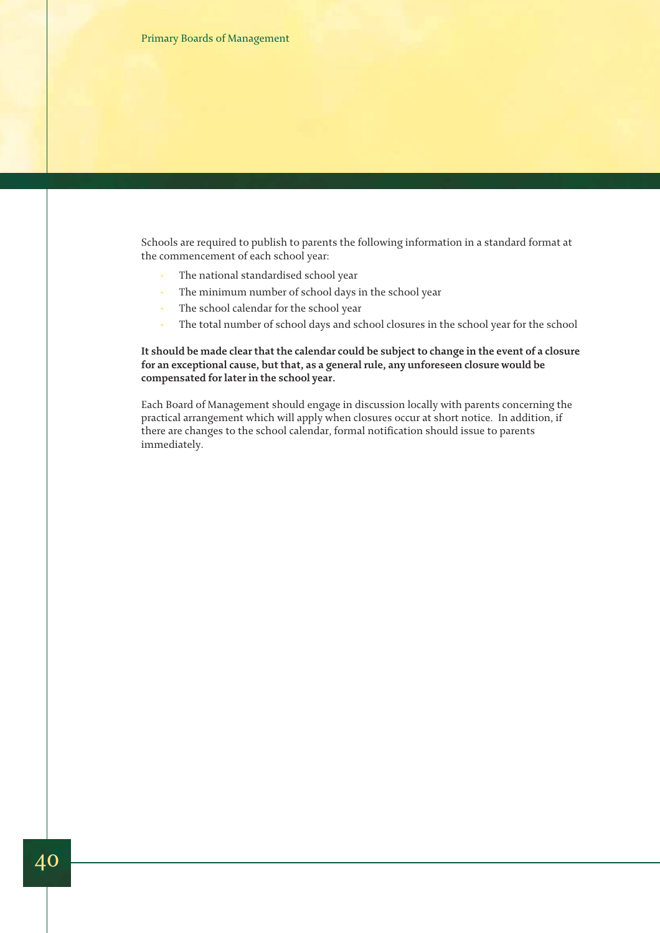Schools are required to publish to parents the following information in a standard format at the commencement of each school year:

- The national standardised school year
- The minimum number of school days in the school year
- The school calendar for the school year
- The total number of school days and school closures in the school year for the school

**It should be made clear that the calendar could be subject to change in the event of a closure for an exceptional cause, but that, as a general rule, any unforeseen closure would be compensated for later in the school year.**

Each Board of Management should engage in discussion locally with parents concerning the practical arrangement which will apply when closures occur at short notice. In addition, if there are changes to the school calendar, formal notification should issue to parents immediately.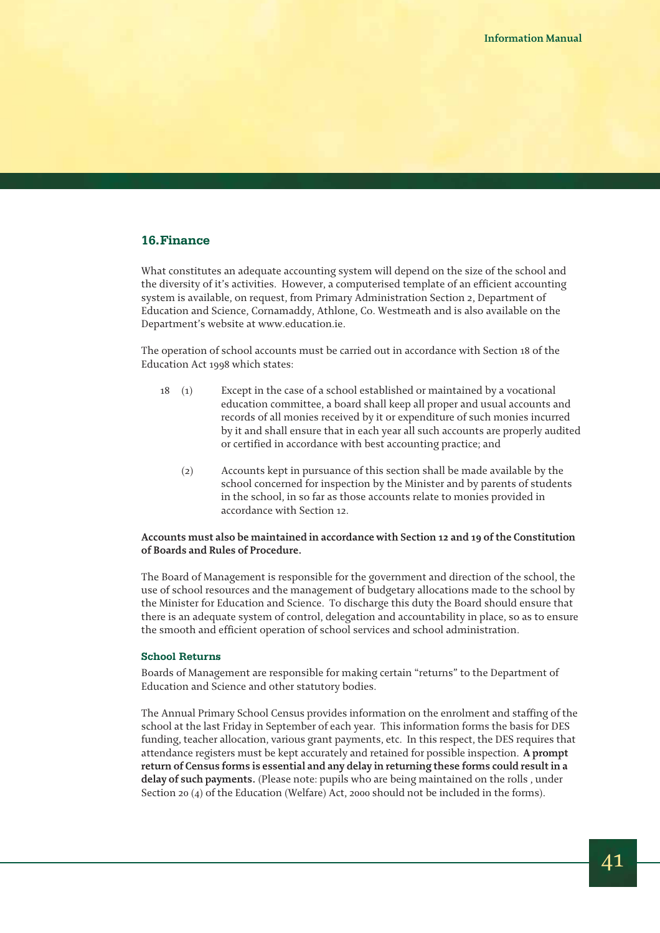## **16.Finance**

What constitutes an adequate accounting system will depend on the size of the school and the diversity of it's activities. However, a computerised template of an efficient accounting system is available, on request, from Primary Administration Section 2, Department of Education and Science, Cornamaddy, Athlone, Co. Westmeath and is also available on the Department's website at www.education.ie.

The operation of school accounts must be carried out in accordance with Section 18 of the Education Act 1998 which states:

- 18 (1) Except in the case of a school established or maintained by a vocational education committee, a board shall keep all proper and usual accounts and records of all monies received by it or expenditure of such monies incurred by it and shall ensure that in each year all such accounts are properly audited or certified in accordance with best accounting practice; and
	- (2) Accounts kept in pursuance of this section shall be made available by the school concerned for inspection by the Minister and by parents of students in the school, in so far as those accounts relate to monies provided in accordance with Section 12.

#### **Accounts must also be maintained in accordance with Section 12 and 19 of the Constitution of Boards and Rules of Procedure.**

The Board of Management is responsible for the government and direction of the school, the use of school resources and the management of budgetary allocations made to the school by the Minister for Education and Science. To discharge this duty the Board should ensure that there is an adequate system of control, delegation and accountability in place, so as to ensure the smooth and efficient operation of school services and school administration.

#### **School Returns**

Boards of Management are responsible for making certain "returns" to the Department of Education and Science and other statutory bodies.

The Annual Primary School Census provides information on the enrolment and staffing of the school at the last Friday in September of each year. This information forms the basis for DES funding, teacher allocation, various grant payments, etc. In this respect, the DES requires that attendance registers must be kept accurately and retained for possible inspection. **A prompt return of Census forms is essential and any delay in returning these forms could result in a delay of such payments.** (Please note: pupils who are being maintained on the rolls , under Section 20 (4) of the Education (Welfare) Act, 2000 should not be included in the forms).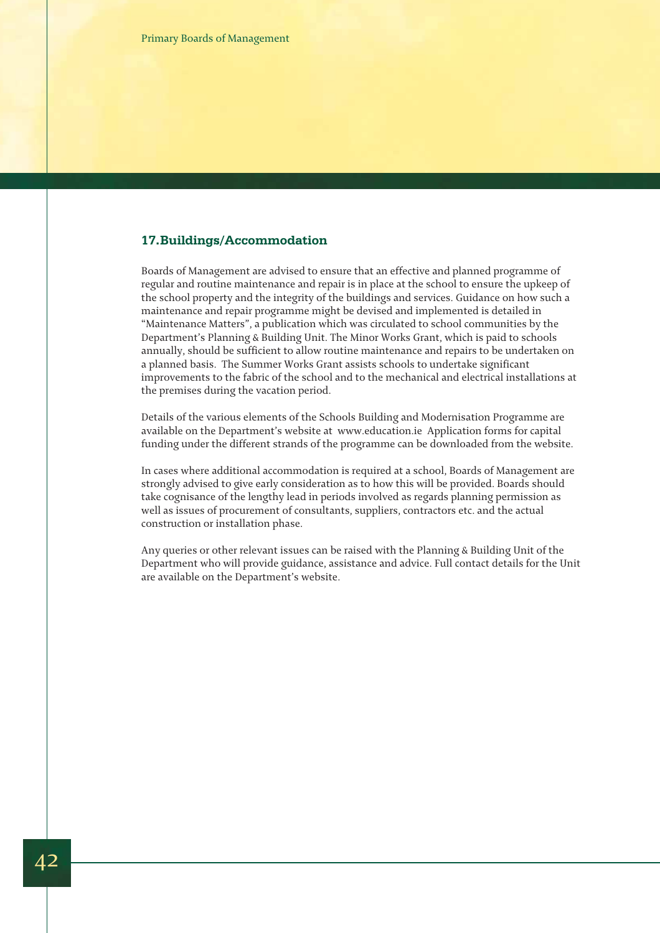## **17.Buildings/Accommodation**

Boards of Management are advised to ensure that an effective and planned programme of regular and routine maintenance and repair is in place at the school to ensure the upkeep of the school property and the integrity of the buildings and services. Guidance on how such a maintenance and repair programme might be devised and implemented is detailed in "Maintenance Matters", a publication which was circulated to school communities by the Department's Planning & Building Unit. The Minor Works Grant, which is paid to schools annually, should be sufficient to allow routine maintenance and repairs to be undertaken on a planned basis. The Summer Works Grant assists schools to undertake significant improvements to the fabric of the school and to the mechanical and electrical installations at the premises during the vacation period.

Details of the various elements of the Schools Building and Modernisation Programme are available on the Department's website at www.education.ie Application forms for capital funding under the different strands of the programme can be downloaded from the website.

In cases where additional accommodation is required at a school, Boards of Management are strongly advised to give early consideration as to how this will be provided. Boards should take cognisance of the lengthy lead in periods involved as regards planning permission as well as issues of procurement of consultants, suppliers, contractors etc. and the actual construction or installation phase.

Any queries or other relevant issues can be raised with the Planning & Building Unit of the Department who will provide guidance, assistance and advice. Full contact details for the Unit are available on the Department's website.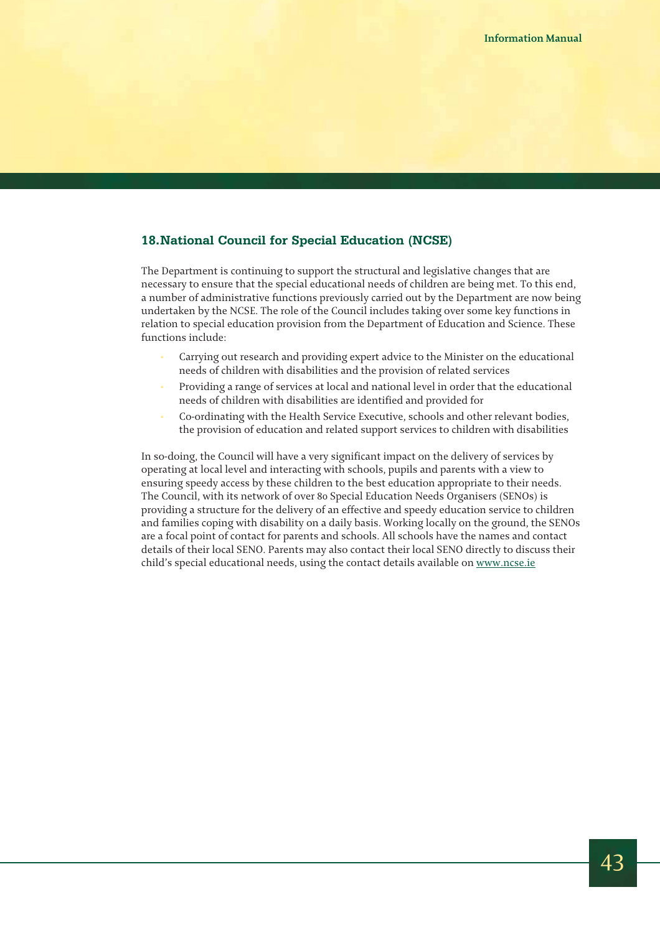## **18.National Council for Special Education (NCSE)**

The Department is continuing to support the structural and legislative changes that are necessary to ensure that the special educational needs of children are being met. To this end, a number of administrative functions previously carried out by the Department are now being undertaken by the NCSE. The role of the Council includes taking over some key functions in relation to special education provision from the Department of Education and Science. These functions include:

- Carrying out research and providing expert advice to the Minister on the educational needs of children with disabilities and the provision of related services
- Providing a range of services at local and national level in order that the educational needs of children with disabilities are identified and provided for
- Co-ordinating with the Health Service Executive, schools and other relevant bodies, the provision of education and related support services to children with disabilities

In so-doing, the Council will have a very significant impact on the delivery of services by operating at local level and interacting with schools, pupils and parents with a view to ensuring speedy access by these children to the best education appropriate to their needs. The Council, with its network of over 80 Special Education Needs Organisers (SENOs) is providing a structure for the delivery of an effective and speedy education service to children and families coping with disability on a daily basis. Working locally on the ground, the SENOs are a focal point of contact for parents and schools. All schools have the names and contact details of their local SENO. Parents may also contact their local SENO directly to discuss their child's special educational needs, using the contact details available on www.ncse.ie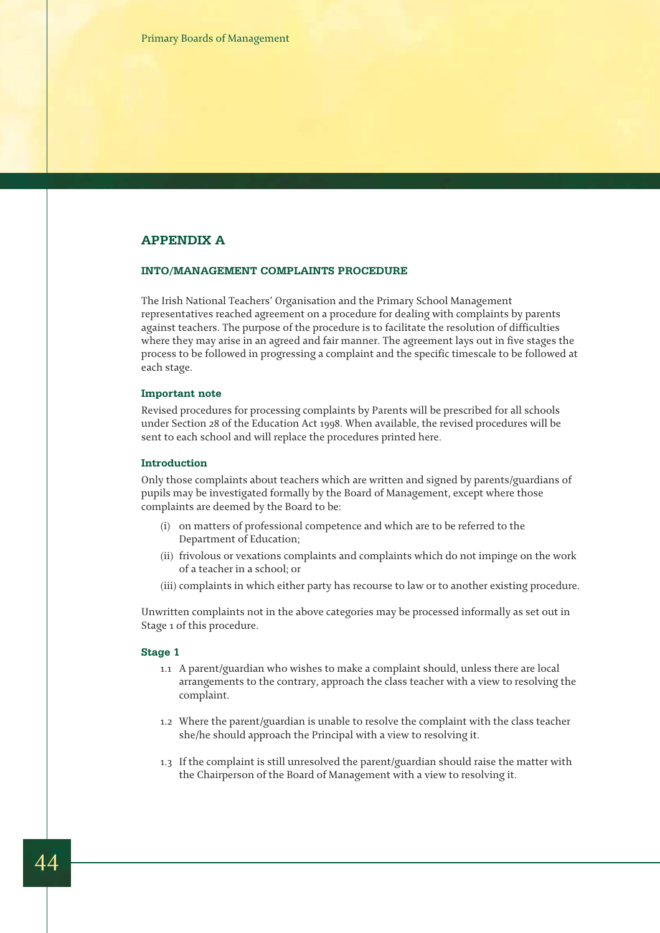## **APPENDIX A**

#### **INTO/MANAGEMENT COMPLAINTS PROCEDURE**

The Irish National Teachers' Organisation and the Primary School Management representatives reached agreement on a procedure for dealing with complaints by parents against teachers. The purpose of the procedure is to facilitate the resolution of difficulties where they may arise in an agreed and fair manner. The agreement lays out in five stages the process to be followed in progressing a complaint and the specific timescale to be followed at each stage.

#### **Important note**

Revised procedures for processing complaints by Parents will be prescribed for all schools under Section 28 of the Education Act 1998. When available, the revised procedures will be sent to each school and will replace the procedures printed here.

#### **Introduction**

Only those complaints about teachers which are written and signed by parents/guardians of pupils may be investigated formally by the Board of Management, except where those complaints are deemed by the Board to be:

- (i) on matters of professional competence and which are to be referred to the Department of Education;
- (ii) frivolous or vexations complaints and complaints which do not impinge on the work of a teacher in a school; or
- (iii) complaints in which either party has recourse to law or to another existing procedure.

Unwritten complaints not in the above categories may be processed informally as set out in Stage 1 of this procedure.

#### **Stage 1**

- 1.1 A parent/guardian who wishes to make a complaint should, unless there are local arrangements to the contrary, approach the class teacher with a view to resolving the complaint.
- 1.2 Where the parent/guardian is unable to resolve the complaint with the class teacher she/he should approach the Principal with a view to resolving it.
- 1.3 If the complaint is still unresolved the parent/guardian should raise the matter with the Chairperson of the Board of Management with a view to resolving it.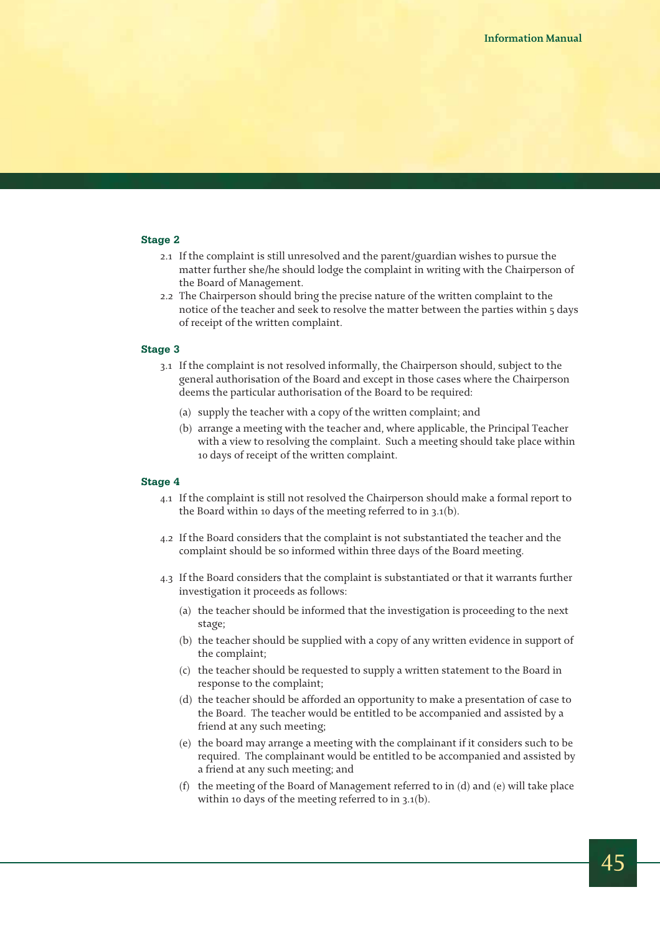#### **Stage 2**

- 2.1 If the complaint is still unresolved and the parent/guardian wishes to pursue the matter further she/he should lodge the complaint in writing with the Chairperson of the Board of Management.
- 2.2 The Chairperson should bring the precise nature of the written complaint to the notice of the teacher and seek to resolve the matter between the parties within 5 days of receipt of the written complaint.

#### **Stage 3**

- 3.1 If the complaint is not resolved informally, the Chairperson should, subject to the general authorisation of the Board and except in those cases where the Chairperson deems the particular authorisation of the Board to be required:
	- (a) supply the teacher with a copy of the written complaint; and
	- (b) arrange a meeting with the teacher and, where applicable, the Principal Teacher with a view to resolving the complaint. Such a meeting should take place within 10 days of receipt of the written complaint.

#### **Stage 4**

- 4.1 If the complaint is still not resolved the Chairperson should make a formal report to the Board within 10 days of the meeting referred to in 3.1(b).
- 4.2 If the Board considers that the complaint is not substantiated the teacher and the complaint should be so informed within three days of the Board meeting.
- 4.3 If the Board considers that the complaint is substantiated or that it warrants further investigation it proceeds as follows:
	- (a) the teacher should be informed that the investigation is proceeding to the next stage;
	- (b) the teacher should be supplied with a copy of any written evidence in support of the complaint;
	- (c) the teacher should be requested to supply a written statement to the Board in response to the complaint;
	- (d) the teacher should be afforded an opportunity to make a presentation of case to the Board. The teacher would be entitled to be accompanied and assisted by a friend at any such meeting;
	- (e) the board may arrange a meeting with the complainant if it considers such to be required. The complainant would be entitled to be accompanied and assisted by a friend at any such meeting; and
	- (f) the meeting of the Board of Management referred to in (d) and (e) will take place within 10 days of the meeting referred to in 3.1(b).